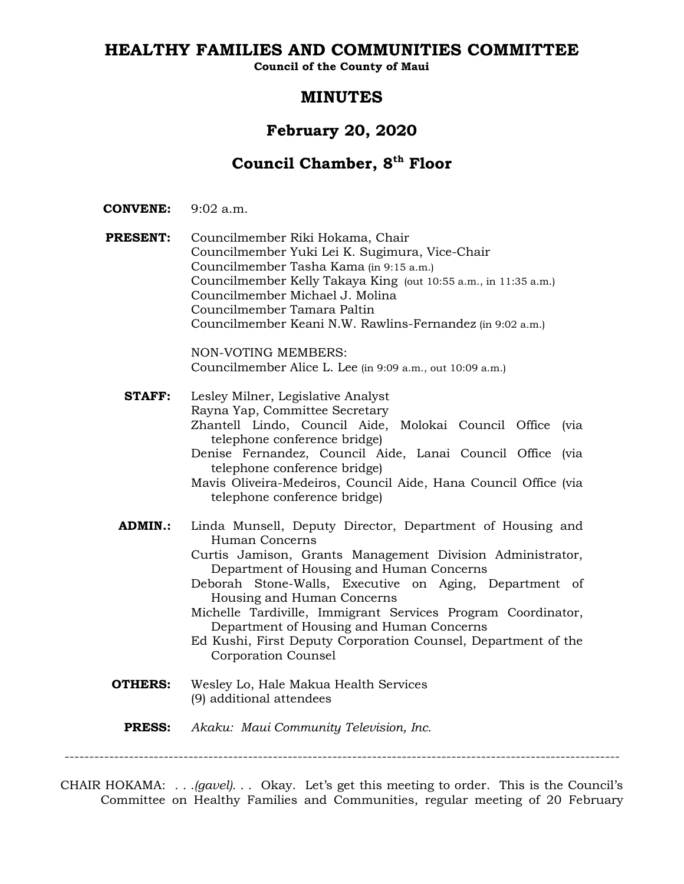# **HEALTHY FAMILIES AND COMMUNITIES COMMITTEE**

**Council of the County of Maui**

# **MINUTES**

# **February 20, 2020**

# **Council Chamber, 8th Floor**

- **CONVENE:** 9:02 a.m.
- **PRESENT:** Councilmember Riki Hokama, Chair Councilmember Yuki Lei K. Sugimura, Vice-Chair Councilmember Tasha Kama (in 9:15 a.m.) Councilmember Kelly Takaya King (out 10:55 a.m., in 11:35 a.m.) Councilmember Michael J. Molina Councilmember Tamara Paltin Councilmember Keani N.W. Rawlins-Fernandez (in 9:02 a.m.)

NON-VOTING MEMBERS: Councilmember Alice L. Lee (in 9:09 a.m., out 10:09 a.m.)

**STAFF:** Lesley Milner, Legislative Analyst Rayna Yap, Committee Secretary Zhantell Lindo, Council Aide, Molokai Council Office (via telephone conference bridge) Denise Fernandez, Council Aide, Lanai Council Office (via telephone conference bridge) Mavis Oliveira-Medeiros, Council Aide, Hana Council Office (via telephone conference bridge) **ADMIN.:** Linda Munsell, Deputy Director, Department of Housing and Human Concerns

> Curtis Jamison, Grants Management Division Administrator, Department of Housing and Human Concerns

- Deborah Stone-Walls, Executive on Aging, Department of Housing and Human Concerns
- Michelle Tardiville, Immigrant Services Program Coordinator, Department of Housing and Human Concerns
- Ed Kushi, First Deputy Corporation Counsel, Department of the Corporation Counsel
- **OTHERS:** Wesley Lo, Hale Makua Health Services (9) additional attendees
	- **PRESS:** *Akaku: Maui Community Television, Inc.*

----------------------------------------------------------------------------------------------------------------

CHAIR HOKAMA: *. . .(gavel). . .* Okay. Let's get this meeting to order. This is the Council's Committee on Healthy Families and Communities, regular meeting of 20 February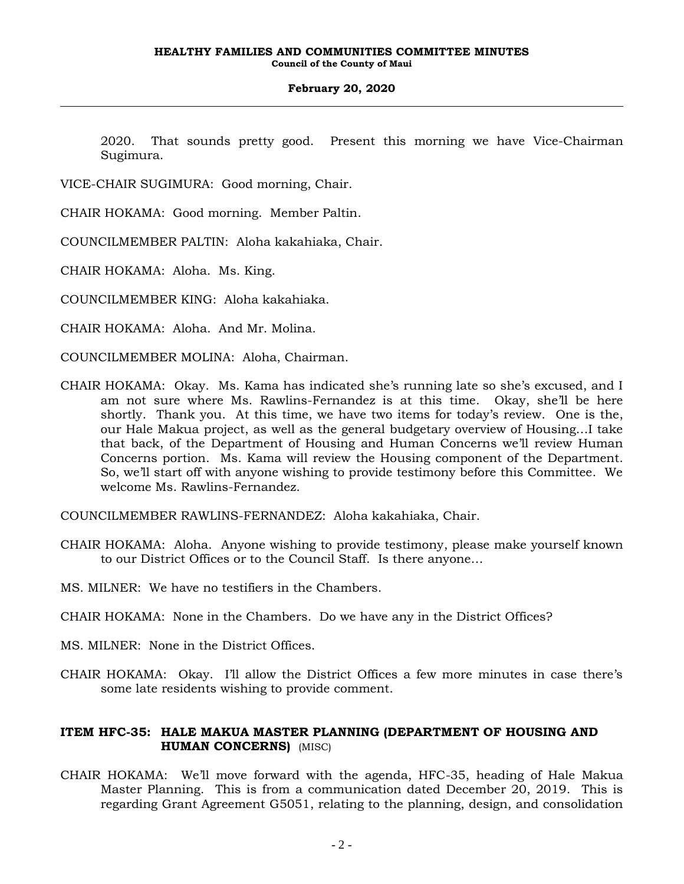2020. That sounds pretty good. Present this morning we have Vice-Chairman Sugimura.

VICE-CHAIR SUGIMURA: Good morning, Chair.

CHAIR HOKAMA: Good morning. Member Paltin.

COUNCILMEMBER PALTIN: Aloha kakahiaka, Chair.

CHAIR HOKAMA: Aloha. Ms. King.

COUNCILMEMBER KING: Aloha kakahiaka.

CHAIR HOKAMA: Aloha. And Mr. Molina.

COUNCILMEMBER MOLINA: Aloha, Chairman.

CHAIR HOKAMA: Okay. Ms. Kama has indicated she's running late so she's excused, and I am not sure where Ms. Rawlins-Fernandez is at this time. Okay, she'll be here shortly. Thank you. At this time, we have two items for today's review. One is the, our Hale Makua project, as well as the general budgetary overview of Housing…I take that back, of the Department of Housing and Human Concerns we'll review Human Concerns portion. Ms. Kama will review the Housing component of the Department. So, we'll start off with anyone wishing to provide testimony before this Committee. We welcome Ms. Rawlins-Fernandez.

COUNCILMEMBER RAWLINS-FERNANDEZ: Aloha kakahiaka, Chair.

- CHAIR HOKAMA: Aloha. Anyone wishing to provide testimony, please make yourself known to our District Offices or to the Council Staff. Is there anyone…
- MS. MILNER: We have no testifiers in the Chambers.
- CHAIR HOKAMA: None in the Chambers. Do we have any in the District Offices?
- MS. MILNER: None in the District Offices.
- CHAIR HOKAMA: Okay. I'll allow the District Offices a few more minutes in case there's some late residents wishing to provide comment.

# **ITEM HFC-35: HALE MAKUA MASTER PLANNING (DEPARTMENT OF HOUSING AND HUMAN CONCERNS)** (MISC)

CHAIR HOKAMA: We'll move forward with the agenda, HFC-35, heading of Hale Makua Master Planning. This is from a communication dated December 20, 2019. This is regarding Grant Agreement G5051, relating to the planning, design, and consolidation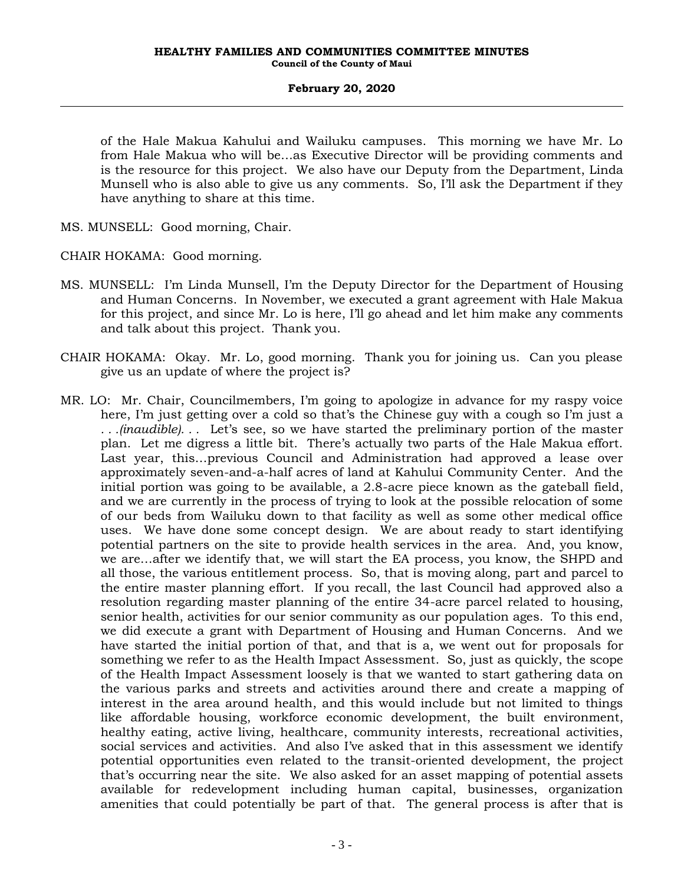of the Hale Makua Kahului and Wailuku campuses. This morning we have Mr. Lo from Hale Makua who will be…as Executive Director will be providing comments and is the resource for this project. We also have our Deputy from the Department, Linda Munsell who is also able to give us any comments. So, I'll ask the Department if they have anything to share at this time.

MS. MUNSELL: Good morning, Chair.

CHAIR HOKAMA: Good morning.

- MS. MUNSELL: I'm Linda Munsell, I'm the Deputy Director for the Department of Housing and Human Concerns. In November, we executed a grant agreement with Hale Makua for this project, and since Mr. Lo is here, I'll go ahead and let him make any comments and talk about this project. Thank you.
- CHAIR HOKAMA: Okay. Mr. Lo, good morning. Thank you for joining us. Can you please give us an update of where the project is?
- MR. LO: Mr. Chair, Councilmembers, I'm going to apologize in advance for my raspy voice here, I'm just getting over a cold so that's the Chinese guy with a cough so I'm just a *. . .(inaudible). . .* Let's see, so we have started the preliminary portion of the master plan. Let me digress a little bit. There's actually two parts of the Hale Makua effort. Last year, this…previous Council and Administration had approved a lease over approximately seven-and-a-half acres of land at Kahului Community Center. And the initial portion was going to be available, a 2.8-acre piece known as the gateball field, and we are currently in the process of trying to look at the possible relocation of some of our beds from Wailuku down to that facility as well as some other medical office uses. We have done some concept design. We are about ready to start identifying potential partners on the site to provide health services in the area. And, you know, we are…after we identify that, we will start the EA process, you know, the SHPD and all those, the various entitlement process. So, that is moving along, part and parcel to the entire master planning effort. If you recall, the last Council had approved also a resolution regarding master planning of the entire 34-acre parcel related to housing, senior health, activities for our senior community as our population ages. To this end, we did execute a grant with Department of Housing and Human Concerns. And we have started the initial portion of that, and that is a, we went out for proposals for something we refer to as the Health Impact Assessment. So, just as quickly, the scope of the Health Impact Assessment loosely is that we wanted to start gathering data on the various parks and streets and activities around there and create a mapping of interest in the area around health, and this would include but not limited to things like affordable housing, workforce economic development, the built environment, healthy eating, active living, healthcare, community interests, recreational activities, social services and activities. And also I've asked that in this assessment we identify potential opportunities even related to the transit-oriented development, the project that's occurring near the site. We also asked for an asset mapping of potential assets available for redevelopment including human capital, businesses, organization amenities that could potentially be part of that. The general process is after that is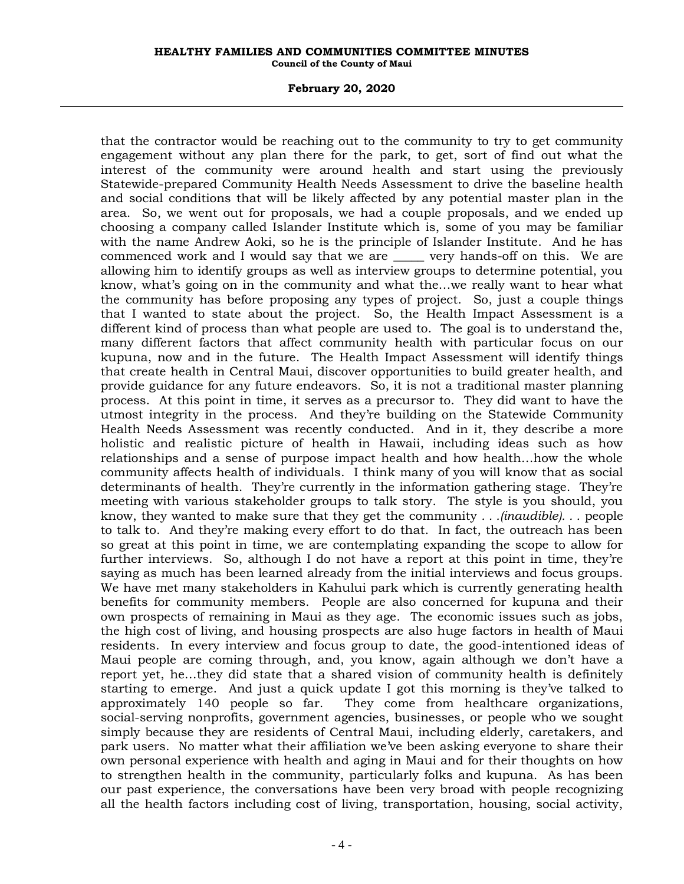## **February 20, 2020**

that the contractor would be reaching out to the community to try to get community engagement without any plan there for the park, to get, sort of find out what the interest of the community were around health and start using the previously Statewide-prepared Community Health Needs Assessment to drive the baseline health and social conditions that will be likely affected by any potential master plan in the area. So, we went out for proposals, we had a couple proposals, and we ended up choosing a company called Islander Institute which is, some of you may be familiar with the name Andrew Aoki, so he is the principle of Islander Institute. And he has commenced work and I would say that we are \_\_\_\_\_ very hands-off on this. We are allowing him to identify groups as well as interview groups to determine potential, you know, what's going on in the community and what the…we really want to hear what the community has before proposing any types of project. So, just a couple things that I wanted to state about the project. So, the Health Impact Assessment is a different kind of process than what people are used to. The goal is to understand the, many different factors that affect community health with particular focus on our kupuna, now and in the future. The Health Impact Assessment will identify things that create health in Central Maui, discover opportunities to build greater health, and provide guidance for any future endeavors. So, it is not a traditional master planning process. At this point in time, it serves as a precursor to. They did want to have the utmost integrity in the process. And they're building on the Statewide Community Health Needs Assessment was recently conducted. And in it, they describe a more holistic and realistic picture of health in Hawaii, including ideas such as how relationships and a sense of purpose impact health and how health…how the whole community affects health of individuals. I think many of you will know that as social determinants of health. They're currently in the information gathering stage. They're meeting with various stakeholder groups to talk story. The style is you should, you know, they wanted to make sure that they get the community *. . .(inaudible). . .* people to talk to. And they're making every effort to do that. In fact, the outreach has been so great at this point in time, we are contemplating expanding the scope to allow for further interviews. So, although I do not have a report at this point in time, they're saying as much has been learned already from the initial interviews and focus groups. We have met many stakeholders in Kahului park which is currently generating health benefits for community members. People are also concerned for kupuna and their own prospects of remaining in Maui as they age. The economic issues such as jobs, the high cost of living, and housing prospects are also huge factors in health of Maui residents. In every interview and focus group to date, the good-intentioned ideas of Maui people are coming through, and, you know, again although we don't have a report yet, he…they did state that a shared vision of community health is definitely starting to emerge. And just a quick update I got this morning is they've talked to approximately 140 people so far. They come from healthcare organizations, social-serving nonprofits, government agencies, businesses, or people who we sought simply because they are residents of Central Maui, including elderly, caretakers, and park users. No matter what their affiliation we've been asking everyone to share their own personal experience with health and aging in Maui and for their thoughts on how to strengthen health in the community, particularly folks and kupuna. As has been our past experience, the conversations have been very broad with people recognizing all the health factors including cost of living, transportation, housing, social activity,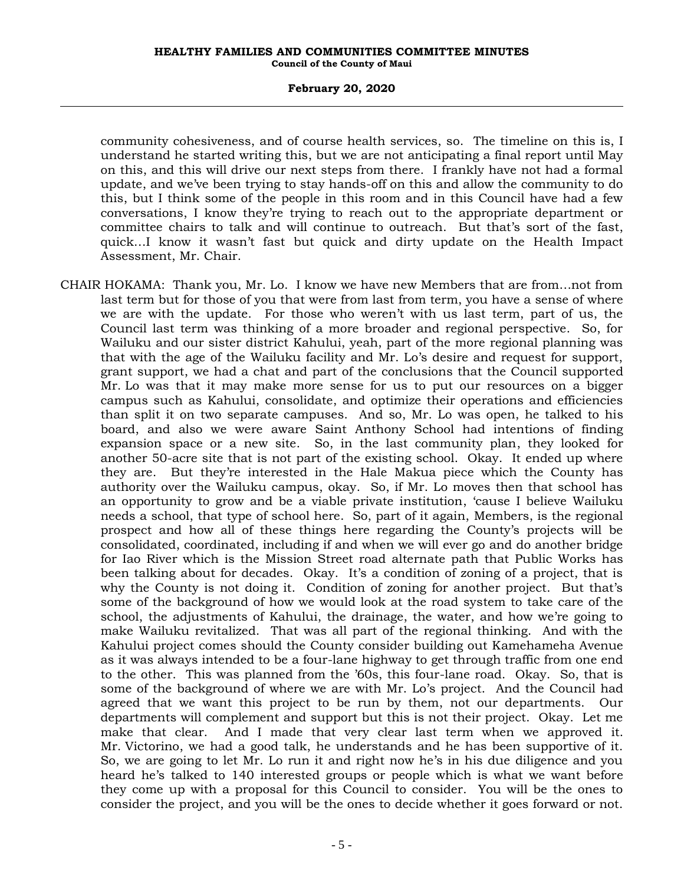## **February 20, 2020**

community cohesiveness, and of course health services, so. The timeline on this is, I understand he started writing this, but we are not anticipating a final report until May on this, and this will drive our next steps from there. I frankly have not had a formal update, and we've been trying to stay hands-off on this and allow the community to do this, but I think some of the people in this room and in this Council have had a few conversations, I know they're trying to reach out to the appropriate department or committee chairs to talk and will continue to outreach. But that's sort of the fast, quick…I know it wasn't fast but quick and dirty update on the Health Impact Assessment, Mr. Chair.

CHAIR HOKAMA: Thank you, Mr. Lo. I know we have new Members that are from…not from last term but for those of you that were from last from term, you have a sense of where we are with the update. For those who weren't with us last term, part of us, the Council last term was thinking of a more broader and regional perspective. So, for Wailuku and our sister district Kahului, yeah, part of the more regional planning was that with the age of the Wailuku facility and Mr. Lo's desire and request for support, grant support, we had a chat and part of the conclusions that the Council supported Mr. Lo was that it may make more sense for us to put our resources on a bigger campus such as Kahului, consolidate, and optimize their operations and efficiencies than split it on two separate campuses. And so, Mr. Lo was open, he talked to his board, and also we were aware Saint Anthony School had intentions of finding expansion space or a new site. So, in the last community plan, they looked for another 50-acre site that is not part of the existing school. Okay. It ended up where they are. But they're interested in the Hale Makua piece which the County has authority over the Wailuku campus, okay. So, if Mr. Lo moves then that school has an opportunity to grow and be a viable private institution, 'cause I believe Wailuku needs a school, that type of school here. So, part of it again, Members, is the regional prospect and how all of these things here regarding the County's projects will be consolidated, coordinated, including if and when we will ever go and do another bridge for Iao River which is the Mission Street road alternate path that Public Works has been talking about for decades. Okay. It's a condition of zoning of a project, that is why the County is not doing it. Condition of zoning for another project. But that's some of the background of how we would look at the road system to take care of the school, the adjustments of Kahului, the drainage, the water, and how we're going to make Wailuku revitalized. That was all part of the regional thinking. And with the Kahului project comes should the County consider building out Kamehameha Avenue as it was always intended to be a four-lane highway to get through traffic from one end to the other. This was planned from the '60s, this four-lane road. Okay. So, that is some of the background of where we are with Mr. Lo's project. And the Council had agreed that we want this project to be run by them, not our departments. Our departments will complement and support but this is not their project. Okay. Let me make that clear. And I made that very clear last term when we approved it. Mr. Victorino, we had a good talk, he understands and he has been supportive of it. So, we are going to let Mr. Lo run it and right now he's in his due diligence and you heard he's talked to 140 interested groups or people which is what we want before they come up with a proposal for this Council to consider. You will be the ones to consider the project, and you will be the ones to decide whether it goes forward or not.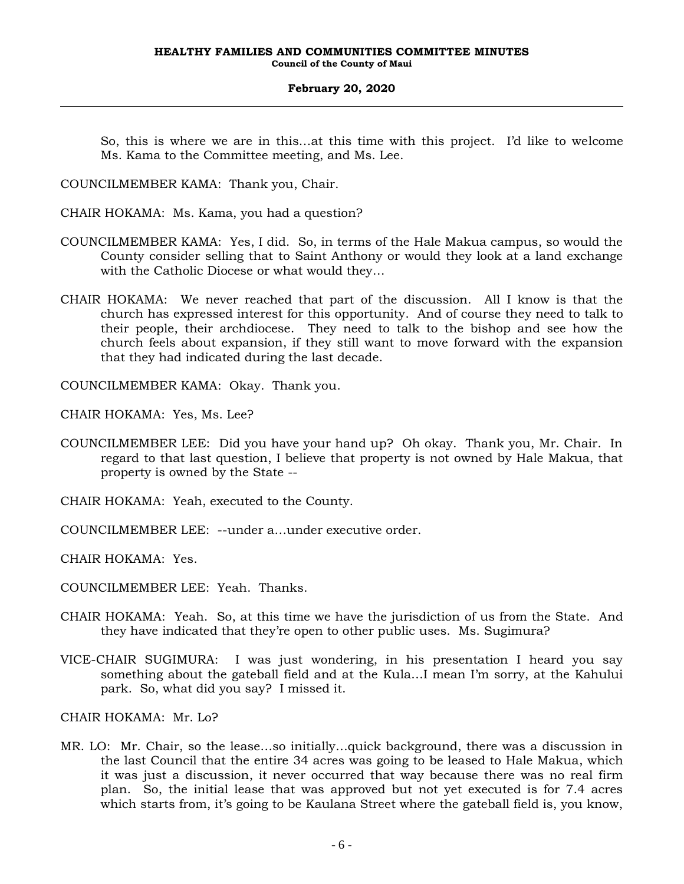So, this is where we are in this…at this time with this project. I'd like to welcome Ms. Kama to the Committee meeting, and Ms. Lee.

COUNCILMEMBER KAMA: Thank you, Chair.

- CHAIR HOKAMA: Ms. Kama, you had a question?
- COUNCILMEMBER KAMA: Yes, I did. So, in terms of the Hale Makua campus, so would the County consider selling that to Saint Anthony or would they look at a land exchange with the Catholic Diocese or what would they…
- CHAIR HOKAMA: We never reached that part of the discussion. All I know is that the church has expressed interest for this opportunity. And of course they need to talk to their people, their archdiocese. They need to talk to the bishop and see how the church feels about expansion, if they still want to move forward with the expansion that they had indicated during the last decade.

COUNCILMEMBER KAMA: Okay. Thank you.

CHAIR HOKAMA: Yes, Ms. Lee?

COUNCILMEMBER LEE: Did you have your hand up? Oh okay. Thank you, Mr. Chair. In regard to that last question, I believe that property is not owned by Hale Makua, that property is owned by the State --

CHAIR HOKAMA: Yeah, executed to the County.

COUNCILMEMBER LEE: --under a…under executive order.

CHAIR HOKAMA: Yes.

COUNCILMEMBER LEE: Yeah. Thanks.

- CHAIR HOKAMA: Yeah. So, at this time we have the jurisdiction of us from the State. And they have indicated that they're open to other public uses. Ms. Sugimura?
- VICE-CHAIR SUGIMURA: I was just wondering, in his presentation I heard you say something about the gateball field and at the Kula…I mean I'm sorry, at the Kahului park. So, what did you say? I missed it.

CHAIR HOKAMA: Mr. Lo?

MR. LO: Mr. Chair, so the lease…so initially…quick background, there was a discussion in the last Council that the entire 34 acres was going to be leased to Hale Makua, which it was just a discussion, it never occurred that way because there was no real firm plan. So, the initial lease that was approved but not yet executed is for 7.4 acres which starts from, it's going to be Kaulana Street where the gateball field is, you know,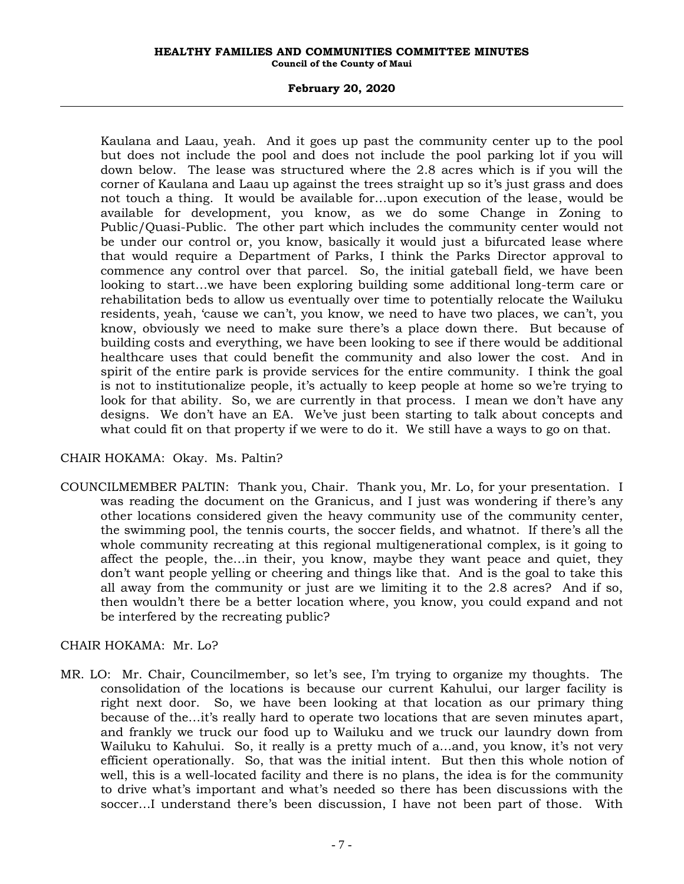# **February 20, 2020**

Kaulana and Laau, yeah. And it goes up past the community center up to the pool but does not include the pool and does not include the pool parking lot if you will down below. The lease was structured where the 2.8 acres which is if you will the corner of Kaulana and Laau up against the trees straight up so it's just grass and does not touch a thing. It would be available for…upon execution of the lease, would be available for development, you know, as we do some Change in Zoning to Public/Quasi-Public. The other part which includes the community center would not be under our control or, you know, basically it would just a bifurcated lease where that would require a Department of Parks, I think the Parks Director approval to commence any control over that parcel. So, the initial gateball field, we have been looking to start…we have been exploring building some additional long-term care or rehabilitation beds to allow us eventually over time to potentially relocate the Wailuku residents, yeah, 'cause we can't, you know, we need to have two places, we can't, you know, obviously we need to make sure there's a place down there. But because of building costs and everything, we have been looking to see if there would be additional healthcare uses that could benefit the community and also lower the cost. And in spirit of the entire park is provide services for the entire community. I think the goal is not to institutionalize people, it's actually to keep people at home so we're trying to look for that ability. So, we are currently in that process. I mean we don't have any designs. We don't have an EA. We've just been starting to talk about concepts and what could fit on that property if we were to do it. We still have a ways to go on that.

# CHAIR HOKAMA: Okay. Ms. Paltin?

COUNCILMEMBER PALTIN: Thank you, Chair. Thank you, Mr. Lo, for your presentation. I was reading the document on the Granicus, and I just was wondering if there's any other locations considered given the heavy community use of the community center, the swimming pool, the tennis courts, the soccer fields, and whatnot. If there's all the whole community recreating at this regional multigenerational complex, is it going to affect the people, the…in their, you know, maybe they want peace and quiet, they don't want people yelling or cheering and things like that. And is the goal to take this all away from the community or just are we limiting it to the 2.8 acres? And if so, then wouldn't there be a better location where, you know, you could expand and not be interfered by the recreating public?

# CHAIR HOKAMA: Mr. Lo?

MR. LO: Mr. Chair, Councilmember, so let's see, I'm trying to organize my thoughts. The consolidation of the locations is because our current Kahului, our larger facility is right next door. So, we have been looking at that location as our primary thing because of the…it's really hard to operate two locations that are seven minutes apart, and frankly we truck our food up to Wailuku and we truck our laundry down from Wailuku to Kahului. So, it really is a pretty much of a…and, you know, it's not very efficient operationally. So, that was the initial intent. But then this whole notion of well, this is a well-located facility and there is no plans, the idea is for the community to drive what's important and what's needed so there has been discussions with the soccer…I understand there's been discussion, I have not been part of those. With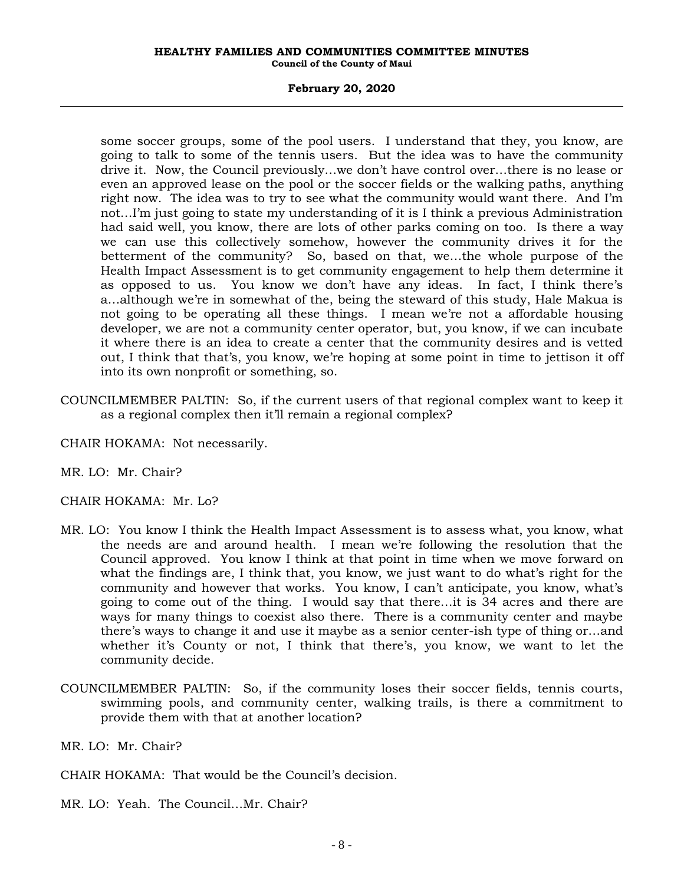## **February 20, 2020**

some soccer groups, some of the pool users. I understand that they, you know, are going to talk to some of the tennis users. But the idea was to have the community drive it. Now, the Council previously…we don't have control over…there is no lease or even an approved lease on the pool or the soccer fields or the walking paths, anything right now. The idea was to try to see what the community would want there. And I'm not…I'm just going to state my understanding of it is I think a previous Administration had said well, you know, there are lots of other parks coming on too. Is there a way we can use this collectively somehow, however the community drives it for the betterment of the community? So, based on that, we…the whole purpose of the Health Impact Assessment is to get community engagement to help them determine it as opposed to us. You know we don't have any ideas. In fact, I think there's a…although we're in somewhat of the, being the steward of this study, Hale Makua is not going to be operating all these things. I mean we're not a affordable housing developer, we are not a community center operator, but, you know, if we can incubate it where there is an idea to create a center that the community desires and is vetted out, I think that that's, you know, we're hoping at some point in time to jettison it off into its own nonprofit or something, so.

COUNCILMEMBER PALTIN: So, if the current users of that regional complex want to keep it as a regional complex then it'll remain a regional complex?

CHAIR HOKAMA: Not necessarily.

MR. LO: Mr. Chair?

CHAIR HOKAMA: Mr. Lo?

- MR. LO: You know I think the Health Impact Assessment is to assess what, you know, what the needs are and around health. I mean we're following the resolution that the Council approved. You know I think at that point in time when we move forward on what the findings are, I think that, you know, we just want to do what's right for the community and however that works. You know, I can't anticipate, you know, what's going to come out of the thing. I would say that there…it is 34 acres and there are ways for many things to coexist also there. There is a community center and maybe there's ways to change it and use it maybe as a senior center-ish type of thing or…and whether it's County or not, I think that there's, you know, we want to let the community decide.
- COUNCILMEMBER PALTIN: So, if the community loses their soccer fields, tennis courts, swimming pools, and community center, walking trails, is there a commitment to provide them with that at another location?

MR. LO: Mr. Chair?

CHAIR HOKAMA: That would be the Council's decision.

MR. LO: Yeah. The Council…Mr. Chair?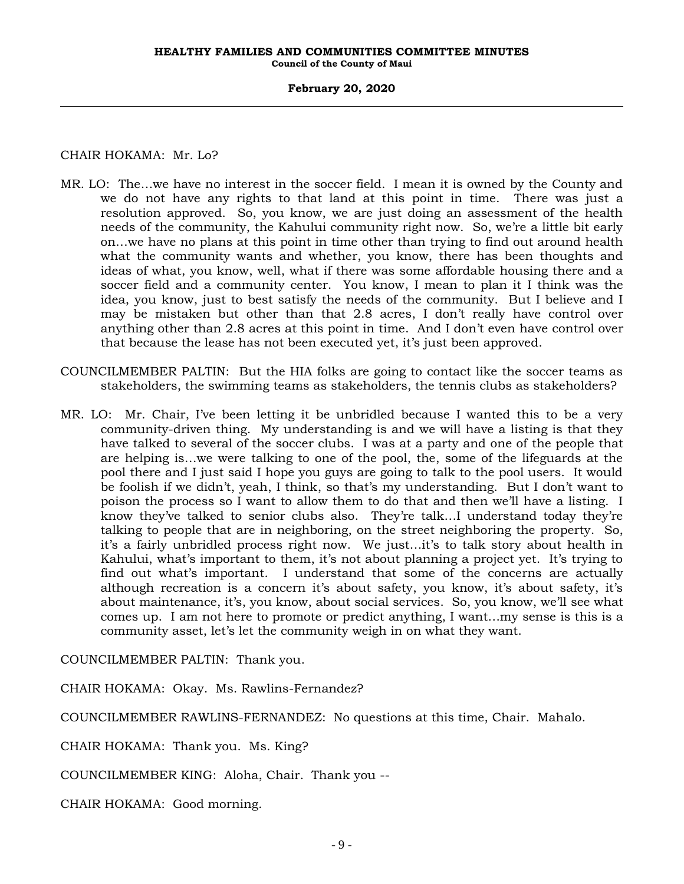## **February 20, 2020**

# CHAIR HOKAMA: Mr. Lo?

- MR. LO: The…we have no interest in the soccer field. I mean it is owned by the County and we do not have any rights to that land at this point in time. There was just a resolution approved. So, you know, we are just doing an assessment of the health needs of the community, the Kahului community right now. So, we're a little bit early on…we have no plans at this point in time other than trying to find out around health what the community wants and whether, you know, there has been thoughts and ideas of what, you know, well, what if there was some affordable housing there and a soccer field and a community center. You know, I mean to plan it I think was the idea, you know, just to best satisfy the needs of the community. But I believe and I may be mistaken but other than that 2.8 acres, I don't really have control over anything other than 2.8 acres at this point in time. And I don't even have control over that because the lease has not been executed yet, it's just been approved.
- COUNCILMEMBER PALTIN: But the HIA folks are going to contact like the soccer teams as stakeholders, the swimming teams as stakeholders, the tennis clubs as stakeholders?
- MR. LO: Mr. Chair, I've been letting it be unbridled because I wanted this to be a very community-driven thing. My understanding is and we will have a listing is that they have talked to several of the soccer clubs. I was at a party and one of the people that are helping is…we were talking to one of the pool, the, some of the lifeguards at the pool there and I just said I hope you guys are going to talk to the pool users. It would be foolish if we didn't, yeah, I think, so that's my understanding. But I don't want to poison the process so I want to allow them to do that and then we'll have a listing. I know they've talked to senior clubs also. They're talk…I understand today they're talking to people that are in neighboring, on the street neighboring the property. So, it's a fairly unbridled process right now. We just…it's to talk story about health in Kahului, what's important to them, it's not about planning a project yet. It's trying to find out what's important. I understand that some of the concerns are actually although recreation is a concern it's about safety, you know, it's about safety, it's about maintenance, it's, you know, about social services. So, you know, we'll see what comes up. I am not here to promote or predict anything, I want…my sense is this is a community asset, let's let the community weigh in on what they want.

COUNCILMEMBER PALTIN: Thank you.

CHAIR HOKAMA: Okay. Ms. Rawlins-Fernandez?

COUNCILMEMBER RAWLINS-FERNANDEZ: No questions at this time, Chair. Mahalo.

CHAIR HOKAMA: Thank you. Ms. King?

COUNCILMEMBER KING: Aloha, Chair. Thank you --

CHAIR HOKAMA: Good morning.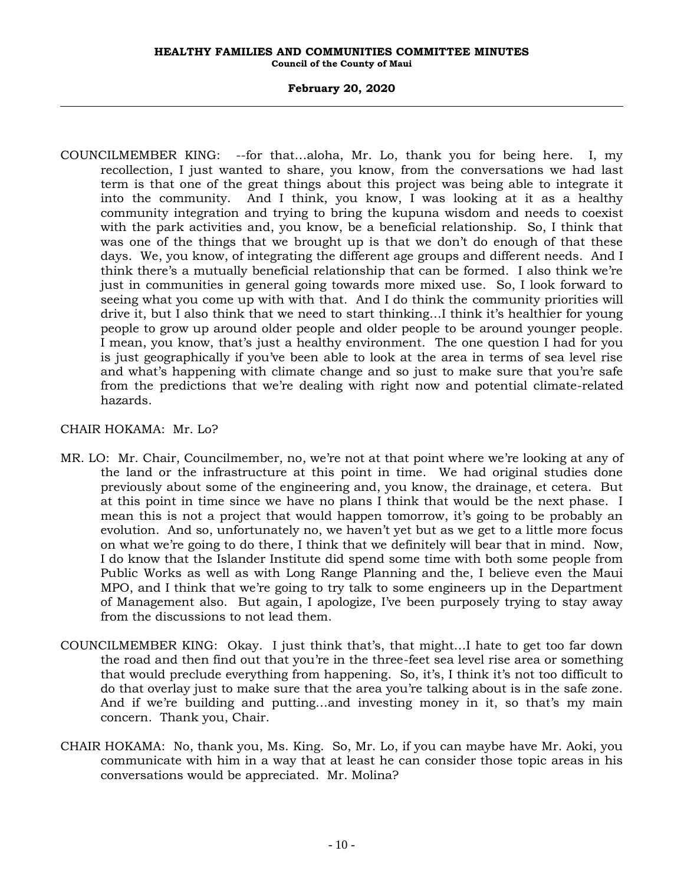COUNCILMEMBER KING: --for that…aloha, Mr. Lo, thank you for being here. I, my recollection, I just wanted to share, you know, from the conversations we had last term is that one of the great things about this project was being able to integrate it into the community. And I think, you know, I was looking at it as a healthy community integration and trying to bring the kupuna wisdom and needs to coexist with the park activities and, you know, be a beneficial relationship. So, I think that was one of the things that we brought up is that we don't do enough of that these days. We, you know, of integrating the different age groups and different needs. And I think there's a mutually beneficial relationship that can be formed. I also think we're just in communities in general going towards more mixed use. So, I look forward to seeing what you come up with with that. And I do think the community priorities will drive it, but I also think that we need to start thinking…I think it's healthier for young people to grow up around older people and older people to be around younger people. I mean, you know, that's just a healthy environment. The one question I had for you is just geographically if you've been able to look at the area in terms of sea level rise and what's happening with climate change and so just to make sure that you're safe from the predictions that we're dealing with right now and potential climate-related hazards.

# CHAIR HOKAMA: Mr. Lo?

- MR. LO: Mr. Chair, Councilmember, no, we're not at that point where we're looking at any of the land or the infrastructure at this point in time. We had original studies done previously about some of the engineering and, you know, the drainage, et cetera. But at this point in time since we have no plans I think that would be the next phase. I mean this is not a project that would happen tomorrow, it's going to be probably an evolution. And so, unfortunately no, we haven't yet but as we get to a little more focus on what we're going to do there, I think that we definitely will bear that in mind. Now, I do know that the Islander Institute did spend some time with both some people from Public Works as well as with Long Range Planning and the, I believe even the Maui MPO, and I think that we're going to try talk to some engineers up in the Department of Management also. But again, I apologize, I've been purposely trying to stay away from the discussions to not lead them.
- COUNCILMEMBER KING: Okay. I just think that's, that might…I hate to get too far down the road and then find out that you're in the three-feet sea level rise area or something that would preclude everything from happening. So, it's, I think it's not too difficult to do that overlay just to make sure that the area you're talking about is in the safe zone. And if we're building and putting…and investing money in it, so that's my main concern. Thank you, Chair.
- CHAIR HOKAMA: No, thank you, Ms. King. So, Mr. Lo, if you can maybe have Mr. Aoki, you communicate with him in a way that at least he can consider those topic areas in his conversations would be appreciated. Mr. Molina?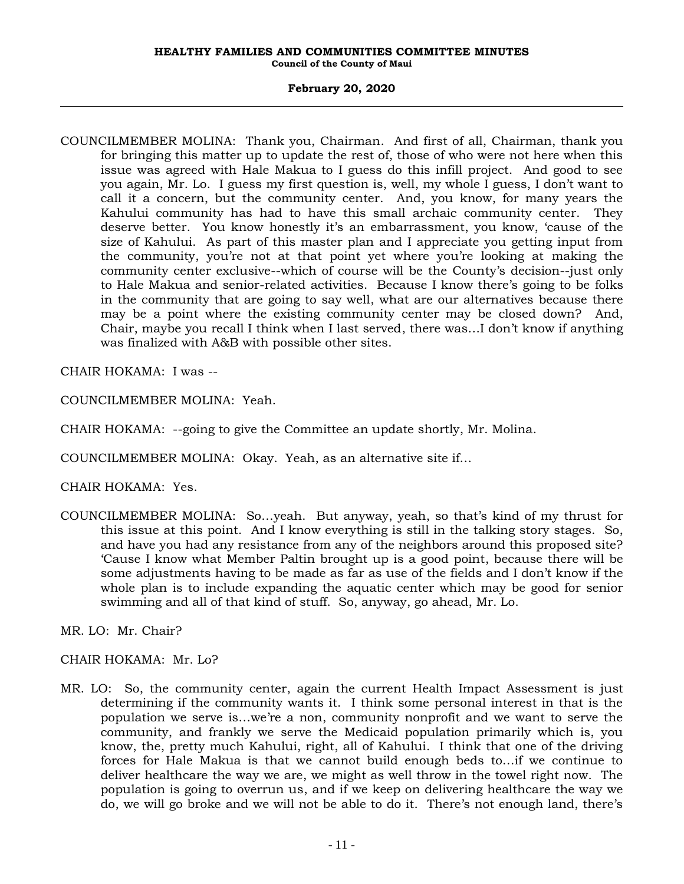# **February 20, 2020**

COUNCILMEMBER MOLINA: Thank you, Chairman. And first of all, Chairman, thank you for bringing this matter up to update the rest of, those of who were not here when this issue was agreed with Hale Makua to I guess do this infill project. And good to see you again, Mr. Lo. I guess my first question is, well, my whole I guess, I don't want to call it a concern, but the community center. And, you know, for many years the Kahului community has had to have this small archaic community center. They deserve better. You know honestly it's an embarrassment, you know, 'cause of the size of Kahului. As part of this master plan and I appreciate you getting input from the community, you're not at that point yet where you're looking at making the community center exclusive--which of course will be the County's decision--just only to Hale Makua and senior-related activities. Because I know there's going to be folks in the community that are going to say well, what are our alternatives because there may be a point where the existing community center may be closed down? And, Chair, maybe you recall I think when I last served, there was…I don't know if anything was finalized with A&B with possible other sites.

CHAIR HOKAMA: I was --

COUNCILMEMBER MOLINA: Yeah.

CHAIR HOKAMA: --going to give the Committee an update shortly, Mr. Molina.

COUNCILMEMBER MOLINA: Okay. Yeah, as an alternative site if…

CHAIR HOKAMA: Yes.

COUNCILMEMBER MOLINA: So…yeah. But anyway, yeah, so that's kind of my thrust for this issue at this point. And I know everything is still in the talking story stages. So, and have you had any resistance from any of the neighbors around this proposed site? 'Cause I know what Member Paltin brought up is a good point, because there will be some adjustments having to be made as far as use of the fields and I don't know if the whole plan is to include expanding the aquatic center which may be good for senior swimming and all of that kind of stuff. So, anyway, go ahead, Mr. Lo.

MR. LO: Mr. Chair?

CHAIR HOKAMA: Mr. Lo?

MR. LO: So, the community center, again the current Health Impact Assessment is just determining if the community wants it. I think some personal interest in that is the population we serve is…we're a non, community nonprofit and we want to serve the community, and frankly we serve the Medicaid population primarily which is, you know, the, pretty much Kahului, right, all of Kahului. I think that one of the driving forces for Hale Makua is that we cannot build enough beds to…if we continue to deliver healthcare the way we are, we might as well throw in the towel right now. The population is going to overrun us, and if we keep on delivering healthcare the way we do, we will go broke and we will not be able to do it. There's not enough land, there's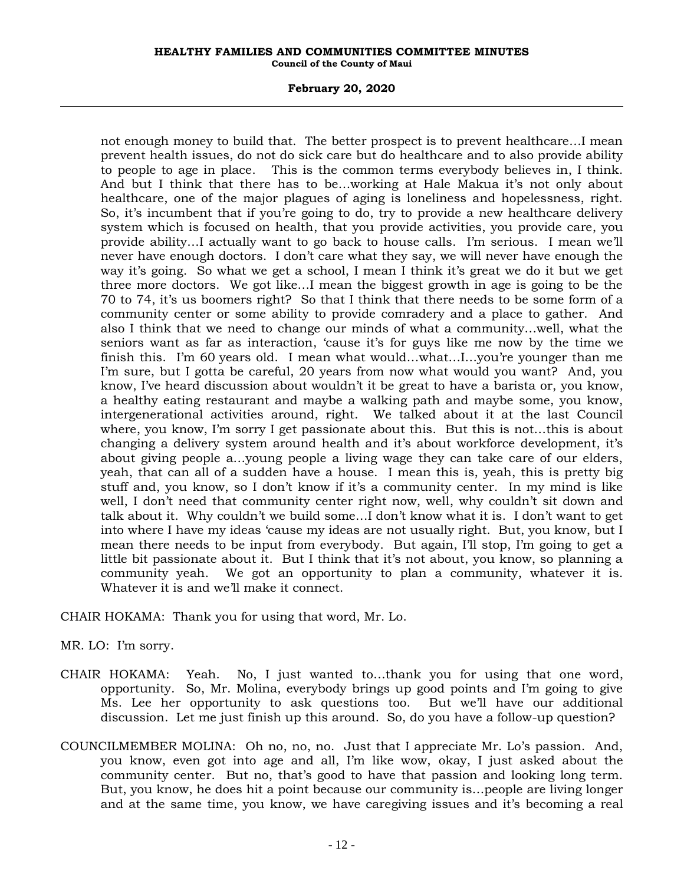## **February 20, 2020**

not enough money to build that. The better prospect is to prevent healthcare…I mean prevent health issues, do not do sick care but do healthcare and to also provide ability to people to age in place. This is the common terms everybody believes in, I think. And but I think that there has to be…working at Hale Makua it's not only about healthcare, one of the major plagues of aging is loneliness and hopelessness, right. So, it's incumbent that if you're going to do, try to provide a new healthcare delivery system which is focused on health, that you provide activities, you provide care, you provide ability…I actually want to go back to house calls. I'm serious. I mean we'll never have enough doctors. I don't care what they say, we will never have enough the way it's going. So what we get a school, I mean I think it's great we do it but we get three more doctors. We got like…I mean the biggest growth in age is going to be the 70 to 74, it's us boomers right? So that I think that there needs to be some form of a community center or some ability to provide comradery and a place to gather. And also I think that we need to change our minds of what a community…well, what the seniors want as far as interaction, 'cause it's for guys like me now by the time we finish this. I'm 60 years old. I mean what would…what…I…you're younger than me I'm sure, but I gotta be careful, 20 years from now what would you want? And, you know, I've heard discussion about wouldn't it be great to have a barista or, you know, a healthy eating restaurant and maybe a walking path and maybe some, you know, intergenerational activities around, right. We talked about it at the last Council where, you know, I'm sorry I get passionate about this. But this is not…this is about changing a delivery system around health and it's about workforce development, it's about giving people a…young people a living wage they can take care of our elders, yeah, that can all of a sudden have a house. I mean this is, yeah, this is pretty big stuff and, you know, so I don't know if it's a community center. In my mind is like well, I don't need that community center right now, well, why couldn't sit down and talk about it. Why couldn't we build some…I don't know what it is. I don't want to get into where I have my ideas 'cause my ideas are not usually right. But, you know, but I mean there needs to be input from everybody. But again, I'll stop, I'm going to get a little bit passionate about it. But I think that it's not about, you know, so planning a community yeah. We got an opportunity to plan a community, whatever it is. Whatever it is and we'll make it connect.

CHAIR HOKAMA: Thank you for using that word, Mr. Lo.

MR. LO: I'm sorry.

- CHAIR HOKAMA: Yeah. No, I just wanted to…thank you for using that one word, opportunity. So, Mr. Molina, everybody brings up good points and I'm going to give Ms. Lee her opportunity to ask questions too. But we'll have our additional discussion. Let me just finish up this around. So, do you have a follow-up question?
- COUNCILMEMBER MOLINA: Oh no, no, no. Just that I appreciate Mr. Lo's passion. And, you know, even got into age and all, I'm like wow, okay, I just asked about the community center. But no, that's good to have that passion and looking long term. But, you know, he does hit a point because our community is…people are living longer and at the same time, you know, we have caregiving issues and it's becoming a real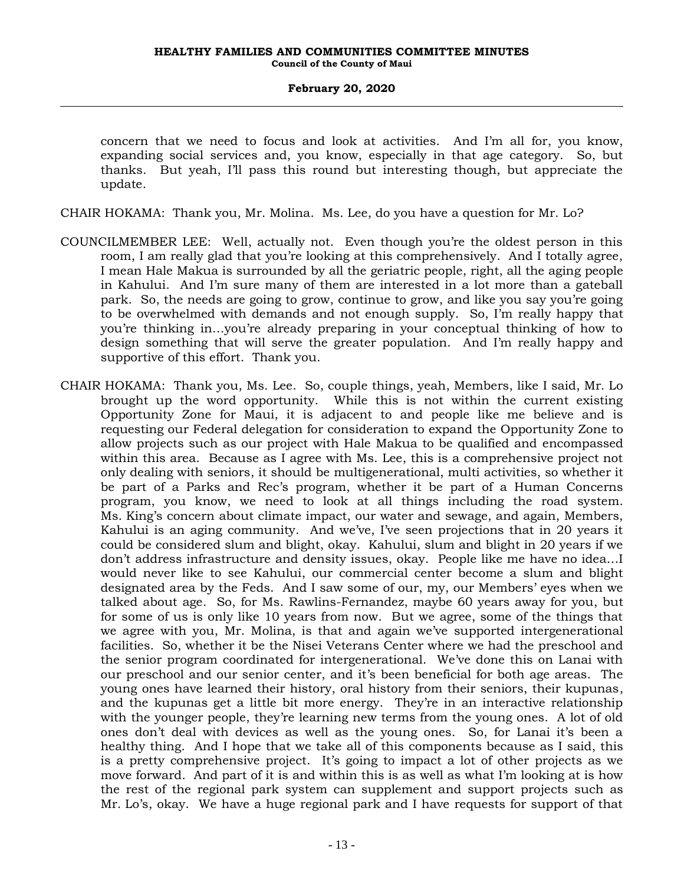concern that we need to focus and look at activities. And I'm all for, you know, expanding social services and, you know, especially in that age category. So, but thanks. But yeah, I'll pass this round but interesting though, but appreciate the update.

CHAIR HOKAMA: Thank you, Mr. Molina. Ms. Lee, do you have a question for Mr. Lo?

- COUNCILMEMBER LEE: Well, actually not. Even though you're the oldest person in this room, I am really glad that you're looking at this comprehensively. And I totally agree, I mean Hale Makua is surrounded by all the geriatric people, right, all the aging people in Kahului. And I'm sure many of them are interested in a lot more than a gateball park. So, the needs are going to grow, continue to grow, and like you say you're going to be overwhelmed with demands and not enough supply. So, I'm really happy that you're thinking in…you're already preparing in your conceptual thinking of how to design something that will serve the greater population. And I'm really happy and supportive of this effort. Thank you.
- CHAIR HOKAMA: Thank you, Ms. Lee. So, couple things, yeah, Members, like I said, Mr. Lo brought up the word opportunity. While this is not within the current existing Opportunity Zone for Maui, it is adjacent to and people like me believe and is requesting our Federal delegation for consideration to expand the Opportunity Zone to allow projects such as our project with Hale Makua to be qualified and encompassed within this area. Because as I agree with Ms. Lee, this is a comprehensive project not only dealing with seniors, it should be multigenerational, multi activities, so whether it be part of a Parks and Rec's program, whether it be part of a Human Concerns program, you know, we need to look at all things including the road system. Ms. King's concern about climate impact, our water and sewage, and again, Members, Kahului is an aging community. And we've, I've seen projections that in 20 years it could be considered slum and blight, okay. Kahului, slum and blight in 20 years if we don't address infrastructure and density issues, okay. People like me have no idea…I would never like to see Kahului, our commercial center become a slum and blight designated area by the Feds. And I saw some of our, my, our Members' eyes when we talked about age. So, for Ms. Rawlins-Fernandez, maybe 60 years away for you, but for some of us is only like 10 years from now. But we agree, some of the things that we agree with you, Mr. Molina, is that and again we've supported intergenerational facilities. So, whether it be the Nisei Veterans Center where we had the preschool and the senior program coordinated for intergenerational. We've done this on Lanai with our preschool and our senior center, and it's been beneficial for both age areas. The young ones have learned their history, oral history from their seniors, their kupunas, and the kupunas get a little bit more energy. They're in an interactive relationship with the younger people, they're learning new terms from the young ones. A lot of old ones don't deal with devices as well as the young ones. So, for Lanai it's been a healthy thing. And I hope that we take all of this components because as I said, this is a pretty comprehensive project. It's going to impact a lot of other projects as we move forward. And part of it is and within this is as well as what I'm looking at is how the rest of the regional park system can supplement and support projects such as Mr. Lo's, okay. We have a huge regional park and I have requests for support of that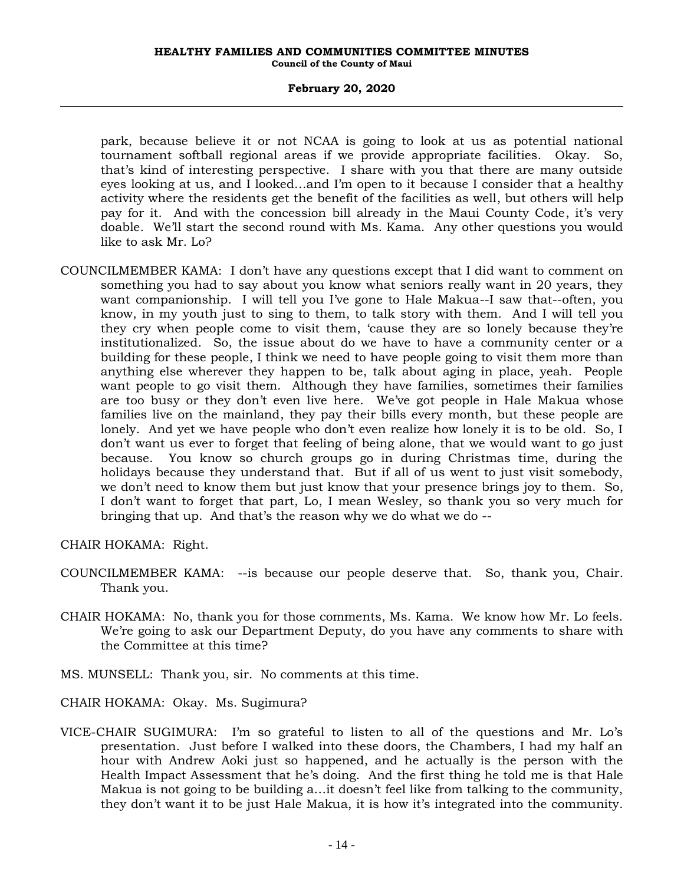## **February 20, 2020**

park, because believe it or not NCAA is going to look at us as potential national tournament softball regional areas if we provide appropriate facilities. Okay. So, that's kind of interesting perspective. I share with you that there are many outside eyes looking at us, and I looked…and I'm open to it because I consider that a healthy activity where the residents get the benefit of the facilities as well, but others will help pay for it. And with the concession bill already in the Maui County Code, it's very doable. We'll start the second round with Ms. Kama. Any other questions you would like to ask Mr. Lo?

COUNCILMEMBER KAMA: I don't have any questions except that I did want to comment on something you had to say about you know what seniors really want in 20 years, they want companionship. I will tell you I've gone to Hale Makua--I saw that--often, you know, in my youth just to sing to them, to talk story with them. And I will tell you they cry when people come to visit them, 'cause they are so lonely because they're institutionalized. So, the issue about do we have to have a community center or a building for these people, I think we need to have people going to visit them more than anything else wherever they happen to be, talk about aging in place, yeah. People want people to go visit them. Although they have families, sometimes their families are too busy or they don't even live here. We've got people in Hale Makua whose families live on the mainland, they pay their bills every month, but these people are lonely. And yet we have people who don't even realize how lonely it is to be old. So, I don't want us ever to forget that feeling of being alone, that we would want to go just because. You know so church groups go in during Christmas time, during the holidays because they understand that. But if all of us went to just visit somebody, we don't need to know them but just know that your presence brings joy to them. So, I don't want to forget that part, Lo, I mean Wesley, so thank you so very much for bringing that up. And that's the reason why we do what we do --

CHAIR HOKAMA: Right.

- COUNCILMEMBER KAMA: --is because our people deserve that. So, thank you, Chair. Thank you.
- CHAIR HOKAMA: No, thank you for those comments, Ms. Kama. We know how Mr. Lo feels. We're going to ask our Department Deputy, do you have any comments to share with the Committee at this time?
- MS. MUNSELL: Thank you, sir. No comments at this time.

CHAIR HOKAMA: Okay. Ms. Sugimura?

VICE-CHAIR SUGIMURA: I'm so grateful to listen to all of the questions and Mr. Lo's presentation. Just before I walked into these doors, the Chambers, I had my half an hour with Andrew Aoki just so happened, and he actually is the person with the Health Impact Assessment that he's doing. And the first thing he told me is that Hale Makua is not going to be building a…it doesn't feel like from talking to the community, they don't want it to be just Hale Makua, it is how it's integrated into the community.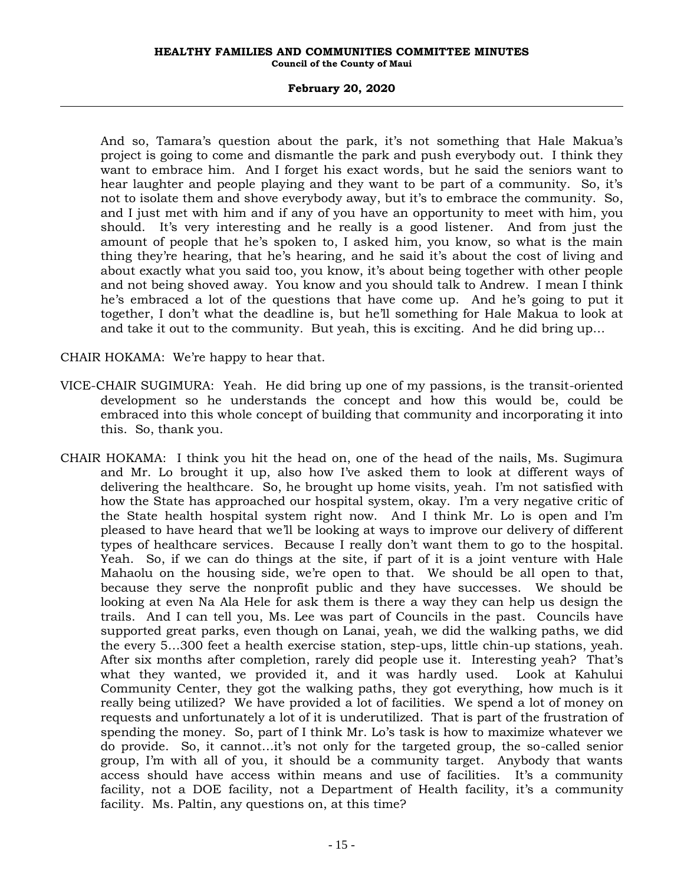## **February 20, 2020**

And so, Tamara's question about the park, it's not something that Hale Makua's project is going to come and dismantle the park and push everybody out. I think they want to embrace him. And I forget his exact words, but he said the seniors want to hear laughter and people playing and they want to be part of a community. So, it's not to isolate them and shove everybody away, but it's to embrace the community. So, and I just met with him and if any of you have an opportunity to meet with him, you should. It's very interesting and he really is a good listener. And from just the amount of people that he's spoken to, I asked him, you know, so what is the main thing they're hearing, that he's hearing, and he said it's about the cost of living and about exactly what you said too, you know, it's about being together with other people and not being shoved away. You know and you should talk to Andrew. I mean I think he's embraced a lot of the questions that have come up. And he's going to put it together, I don't what the deadline is, but he'll something for Hale Makua to look at and take it out to the community. But yeah, this is exciting. And he did bring up…

CHAIR HOKAMA: We're happy to hear that.

- VICE-CHAIR SUGIMURA: Yeah. He did bring up one of my passions, is the transit-oriented development so he understands the concept and how this would be, could be embraced into this whole concept of building that community and incorporating it into this. So, thank you.
- CHAIR HOKAMA: I think you hit the head on, one of the head of the nails, Ms. Sugimura and Mr. Lo brought it up, also how I've asked them to look at different ways of delivering the healthcare. So, he brought up home visits, yeah. I'm not satisfied with how the State has approached our hospital system, okay. I'm a very negative critic of the State health hospital system right now. And I think Mr. Lo is open and I'm pleased to have heard that we'll be looking at ways to improve our delivery of different types of healthcare services. Because I really don't want them to go to the hospital. Yeah. So, if we can do things at the site, if part of it is a joint venture with Hale Mahaolu on the housing side, we're open to that. We should be all open to that, because they serve the nonprofit public and they have successes. We should be looking at even Na Ala Hele for ask them is there a way they can help us design the trails. And I can tell you, Ms. Lee was part of Councils in the past. Councils have supported great parks, even though on Lanai, yeah, we did the walking paths, we did the every 5…300 feet a health exercise station, step-ups, little chin-up stations, yeah. After six months after completion, rarely did people use it. Interesting yeah? That's what they wanted, we provided it, and it was hardly used. Look at Kahului Community Center, they got the walking paths, they got everything, how much is it really being utilized? We have provided a lot of facilities. We spend a lot of money on requests and unfortunately a lot of it is underutilized. That is part of the frustration of spending the money. So, part of I think Mr. Lo's task is how to maximize whatever we do provide. So, it cannot…it's not only for the targeted group, the so-called senior group, I'm with all of you, it should be a community target. Anybody that wants access should have access within means and use of facilities. It's a community facility, not a DOE facility, not a Department of Health facility, it's a community facility. Ms. Paltin, any questions on, at this time?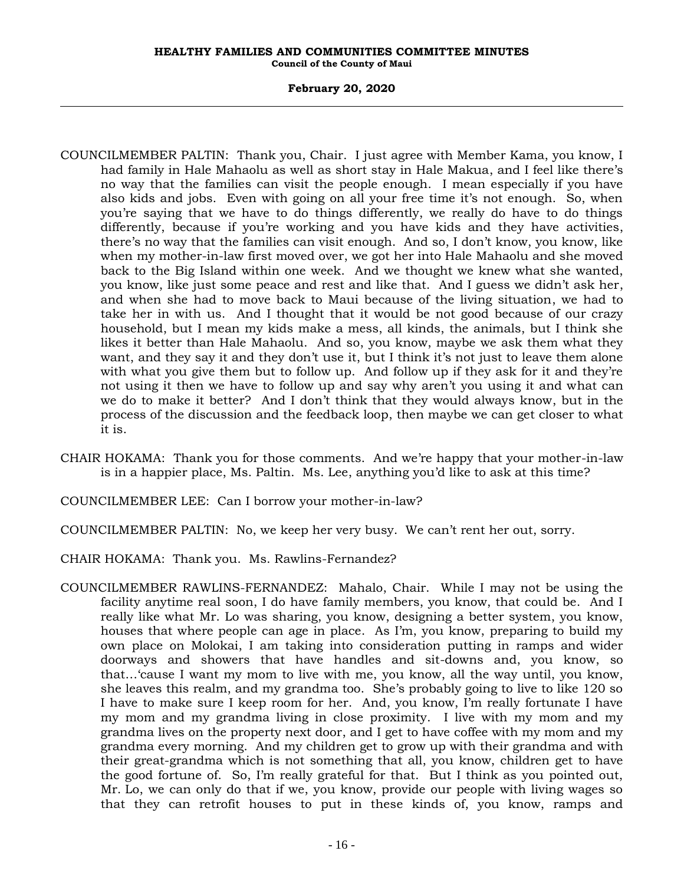- COUNCILMEMBER PALTIN: Thank you, Chair. I just agree with Member Kama, you know, I had family in Hale Mahaolu as well as short stay in Hale Makua, and I feel like there's no way that the families can visit the people enough. I mean especially if you have also kids and jobs. Even with going on all your free time it's not enough. So, when you're saying that we have to do things differently, we really do have to do things differently, because if you're working and you have kids and they have activities, there's no way that the families can visit enough. And so, I don't know, you know, like when my mother-in-law first moved over, we got her into Hale Mahaolu and she moved back to the Big Island within one week. And we thought we knew what she wanted, you know, like just some peace and rest and like that. And I guess we didn't ask her, and when she had to move back to Maui because of the living situation, we had to take her in with us. And I thought that it would be not good because of our crazy household, but I mean my kids make a mess, all kinds, the animals, but I think she likes it better than Hale Mahaolu. And so, you know, maybe we ask them what they want, and they say it and they don't use it, but I think it's not just to leave them alone with what you give them but to follow up. And follow up if they ask for it and they're not using it then we have to follow up and say why aren't you using it and what can we do to make it better? And I don't think that they would always know, but in the process of the discussion and the feedback loop, then maybe we can get closer to what it is.
- CHAIR HOKAMA: Thank you for those comments. And we're happy that your mother-in-law is in a happier place, Ms. Paltin. Ms. Lee, anything you'd like to ask at this time?
- COUNCILMEMBER LEE: Can I borrow your mother-in-law?
- COUNCILMEMBER PALTIN: No, we keep her very busy. We can't rent her out, sorry.
- CHAIR HOKAMA: Thank you. Ms. Rawlins-Fernandez?
- COUNCILMEMBER RAWLINS-FERNANDEZ: Mahalo, Chair. While I may not be using the facility anytime real soon, I do have family members, you know, that could be. And I really like what Mr. Lo was sharing, you know, designing a better system, you know, houses that where people can age in place. As I'm, you know, preparing to build my own place on Molokai, I am taking into consideration putting in ramps and wider doorways and showers that have handles and sit-downs and, you know, so that…'cause I want my mom to live with me, you know, all the way until, you know, she leaves this realm, and my grandma too. She's probably going to live to like 120 so I have to make sure I keep room for her. And, you know, I'm really fortunate I have my mom and my grandma living in close proximity. I live with my mom and my grandma lives on the property next door, and I get to have coffee with my mom and my grandma every morning. And my children get to grow up with their grandma and with their great-grandma which is not something that all, you know, children get to have the good fortune of. So, I'm really grateful for that. But I think as you pointed out, Mr. Lo, we can only do that if we, you know, provide our people with living wages so that they can retrofit houses to put in these kinds of, you know, ramps and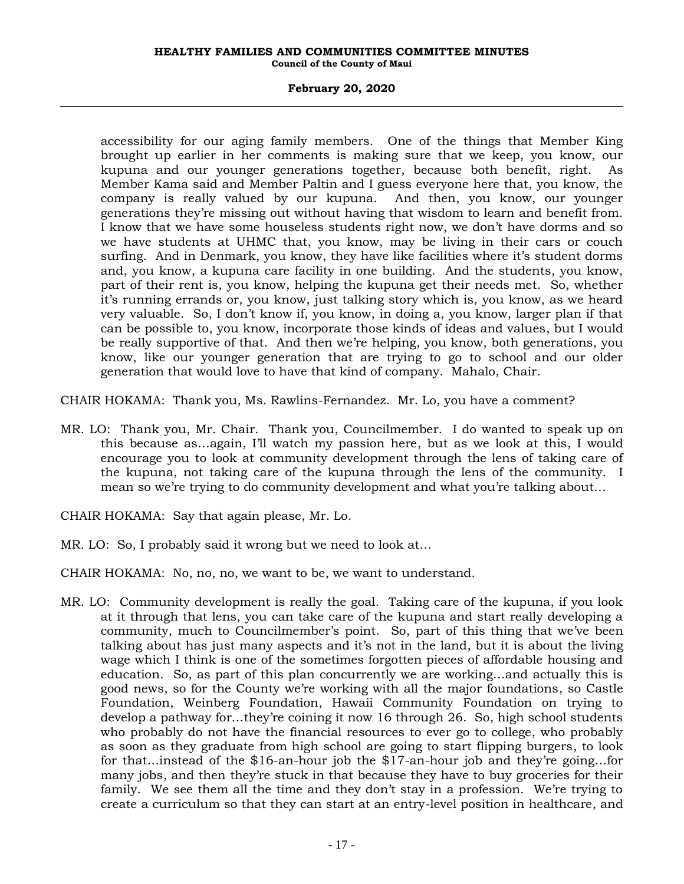# **February 20, 2020**

accessibility for our aging family members. One of the things that Member King brought up earlier in her comments is making sure that we keep, you know, our kupuna and our younger generations together, because both benefit, right. As Member Kama said and Member Paltin and I guess everyone here that, you know, the company is really valued by our kupuna. And then, you know, our younger generations they're missing out without having that wisdom to learn and benefit from. I know that we have some houseless students right now, we don't have dorms and so we have students at UHMC that, you know, may be living in their cars or couch surfing. And in Denmark, you know, they have like facilities where it's student dorms and, you know, a kupuna care facility in one building. And the students, you know, part of their rent is, you know, helping the kupuna get their needs met. So, whether it's running errands or, you know, just talking story which is, you know, as we heard very valuable. So, I don't know if, you know, in doing a, you know, larger plan if that can be possible to, you know, incorporate those kinds of ideas and values, but I would be really supportive of that. And then we're helping, you know, both generations, you know, like our younger generation that are trying to go to school and our older generation that would love to have that kind of company. Mahalo, Chair.

CHAIR HOKAMA: Thank you, Ms. Rawlins-Fernandez. Mr. Lo, you have a comment?

- MR. LO: Thank you, Mr. Chair. Thank you, Councilmember. I do wanted to speak up on this because as…again, I'll watch my passion here, but as we look at this, I would encourage you to look at community development through the lens of taking care of the kupuna, not taking care of the kupuna through the lens of the community. I mean so we're trying to do community development and what you're talking about…
- CHAIR HOKAMA: Say that again please, Mr. Lo.
- MR. LO: So, I probably said it wrong but we need to look at…

CHAIR HOKAMA: No, no, no, we want to be, we want to understand.

MR. LO: Community development is really the goal. Taking care of the kupuna, if you look at it through that lens, you can take care of the kupuna and start really developing a community, much to Councilmember's point. So, part of this thing that we've been talking about has just many aspects and it's not in the land, but it is about the living wage which I think is one of the sometimes forgotten pieces of affordable housing and education. So, as part of this plan concurrently we are working…and actually this is good news, so for the County we're working with all the major foundations, so Castle Foundation, Weinberg Foundation, Hawaii Community Foundation on trying to develop a pathway for…they're coining it now 16 through 26. So, high school students who probably do not have the financial resources to ever go to college, who probably as soon as they graduate from high school are going to start flipping burgers, to look for that…instead of the \$16-an-hour job the \$17-an-hour job and they're going…for many jobs, and then they're stuck in that because they have to buy groceries for their family. We see them all the time and they don't stay in a profession. We're trying to create a curriculum so that they can start at an entry-level position in healthcare, and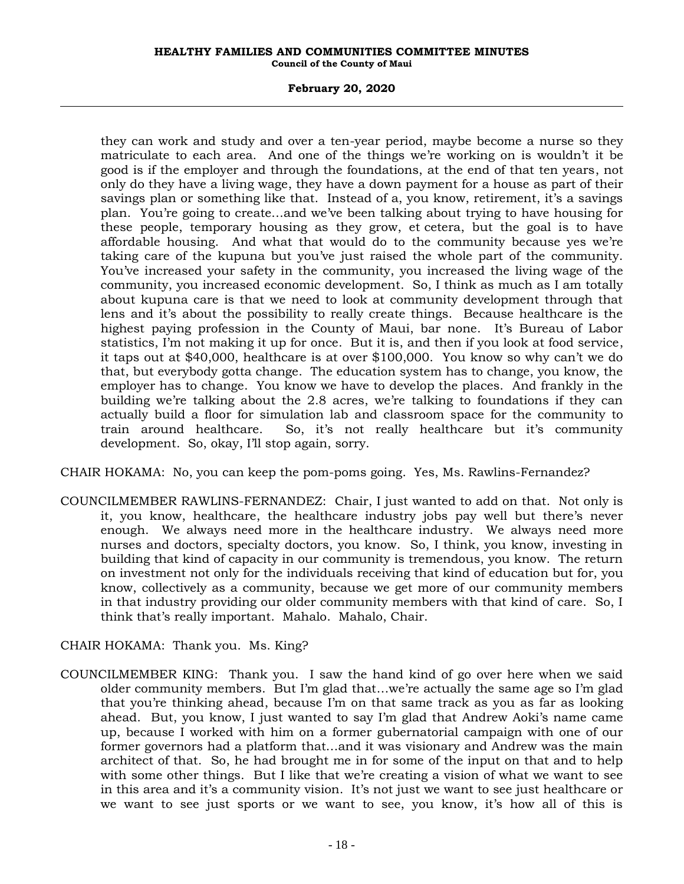## **February 20, 2020**

they can work and study and over a ten-year period, maybe become a nurse so they matriculate to each area. And one of the things we're working on is wouldn't it be good is if the employer and through the foundations, at the end of that ten years, not only do they have a living wage, they have a down payment for a house as part of their savings plan or something like that. Instead of a, you know, retirement, it's a savings plan. You're going to create…and we've been talking about trying to have housing for these people, temporary housing as they grow, et cetera, but the goal is to have affordable housing. And what that would do to the community because yes we're taking care of the kupuna but you've just raised the whole part of the community. You've increased your safety in the community, you increased the living wage of the community, you increased economic development. So, I think as much as I am totally about kupuna care is that we need to look at community development through that lens and it's about the possibility to really create things. Because healthcare is the highest paying profession in the County of Maui, bar none. It's Bureau of Labor statistics, I'm not making it up for once. But it is, and then if you look at food service, it taps out at \$40,000, healthcare is at over \$100,000. You know so why can't we do that, but everybody gotta change. The education system has to change, you know, the employer has to change. You know we have to develop the places. And frankly in the building we're talking about the 2.8 acres, we're talking to foundations if they can actually build a floor for simulation lab and classroom space for the community to train around healthcare. So, it's not really healthcare but it's community development. So, okay, I'll stop again, sorry.

CHAIR HOKAMA: No, you can keep the pom-poms going. Yes, Ms. Rawlins-Fernandez?

COUNCILMEMBER RAWLINS-FERNANDEZ: Chair, I just wanted to add on that. Not only is it, you know, healthcare, the healthcare industry jobs pay well but there's never enough. We always need more in the healthcare industry. We always need more nurses and doctors, specialty doctors, you know. So, I think, you know, investing in building that kind of capacity in our community is tremendous, you know. The return on investment not only for the individuals receiving that kind of education but for, you know, collectively as a community, because we get more of our community members in that industry providing our older community members with that kind of care. So, I think that's really important. Mahalo. Mahalo, Chair.

CHAIR HOKAMA: Thank you. Ms. King?

COUNCILMEMBER KING: Thank you. I saw the hand kind of go over here when we said older community members. But I'm glad that…we're actually the same age so I'm glad that you're thinking ahead, because I'm on that same track as you as far as looking ahead. But, you know, I just wanted to say I'm glad that Andrew Aoki's name came up, because I worked with him on a former gubernatorial campaign with one of our former governors had a platform that…and it was visionary and Andrew was the main architect of that. So, he had brought me in for some of the input on that and to help with some other things. But I like that we're creating a vision of what we want to see in this area and it's a community vision. It's not just we want to see just healthcare or we want to see just sports or we want to see, you know, it's how all of this is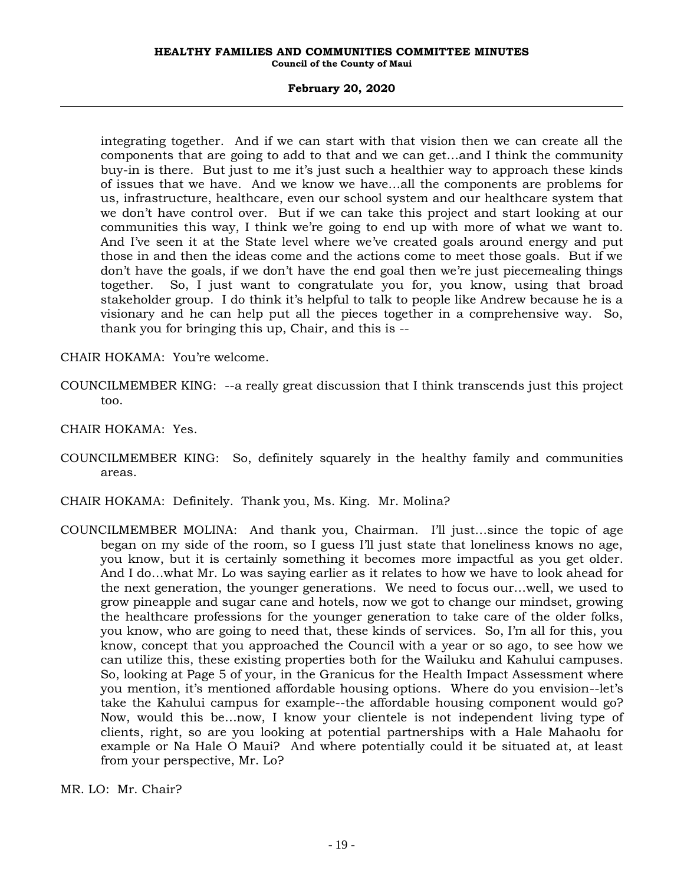# **February 20, 2020**

integrating together. And if we can start with that vision then we can create all the components that are going to add to that and we can get…and I think the community buy-in is there. But just to me it's just such a healthier way to approach these kinds of issues that we have. And we know we have…all the components are problems for us, infrastructure, healthcare, even our school system and our healthcare system that we don't have control over. But if we can take this project and start looking at our communities this way, I think we're going to end up with more of what we want to. And I've seen it at the State level where we've created goals around energy and put those in and then the ideas come and the actions come to meet those goals. But if we don't have the goals, if we don't have the end goal then we're just piecemealing things together. So, I just want to congratulate you for, you know, using that broad stakeholder group. I do think it's helpful to talk to people like Andrew because he is a visionary and he can help put all the pieces together in a comprehensive way. So, thank you for bringing this up, Chair, and this is --

CHAIR HOKAMA: You're welcome.

- COUNCILMEMBER KING: --a really great discussion that I think transcends just this project too.
- CHAIR HOKAMA: Yes.
- COUNCILMEMBER KING: So, definitely squarely in the healthy family and communities areas.
- CHAIR HOKAMA: Definitely. Thank you, Ms. King. Mr. Molina?
- COUNCILMEMBER MOLINA: And thank you, Chairman. I'll just…since the topic of age began on my side of the room, so I guess I'll just state that loneliness knows no age, you know, but it is certainly something it becomes more impactful as you get older. And I do…what Mr. Lo was saying earlier as it relates to how we have to look ahead for the next generation, the younger generations. We need to focus our…well, we used to grow pineapple and sugar cane and hotels, now we got to change our mindset, growing the healthcare professions for the younger generation to take care of the older folks, you know, who are going to need that, these kinds of services. So, I'm all for this, you know, concept that you approached the Council with a year or so ago, to see how we can utilize this, these existing properties both for the Wailuku and Kahului campuses. So, looking at Page 5 of your, in the Granicus for the Health Impact Assessment where you mention, it's mentioned affordable housing options. Where do you envision--let's take the Kahului campus for example--the affordable housing component would go? Now, would this be…now, I know your clientele is not independent living type of clients, right, so are you looking at potential partnerships with a Hale Mahaolu for example or Na Hale O Maui? And where potentially could it be situated at, at least from your perspective, Mr. Lo?

MR. LO: Mr. Chair?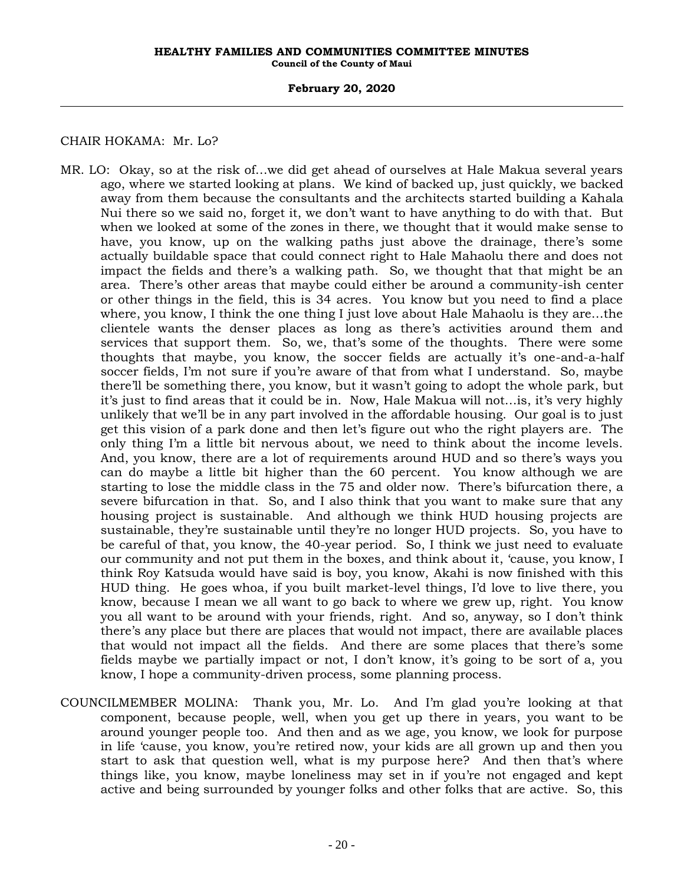## **February 20, 2020**

# CHAIR HOKAMA: Mr. Lo?

- MR. LO: Okay, so at the risk of…we did get ahead of ourselves at Hale Makua several years ago, where we started looking at plans. We kind of backed up, just quickly, we backed away from them because the consultants and the architects started building a Kahala Nui there so we said no, forget it, we don't want to have anything to do with that. But when we looked at some of the zones in there, we thought that it would make sense to have, you know, up on the walking paths just above the drainage, there's some actually buildable space that could connect right to Hale Mahaolu there and does not impact the fields and there's a walking path. So, we thought that that might be an area. There's other areas that maybe could either be around a community-ish center or other things in the field, this is 34 acres. You know but you need to find a place where, you know, I think the one thing I just love about Hale Mahaolu is they are…the clientele wants the denser places as long as there's activities around them and services that support them. So, we, that's some of the thoughts. There were some thoughts that maybe, you know, the soccer fields are actually it's one-and-a-half soccer fields, I'm not sure if you're aware of that from what I understand. So, maybe there'll be something there, you know, but it wasn't going to adopt the whole park, but it's just to find areas that it could be in. Now, Hale Makua will not…is, it's very highly unlikely that we'll be in any part involved in the affordable housing. Our goal is to just get this vision of a park done and then let's figure out who the right players are. The only thing I'm a little bit nervous about, we need to think about the income levels. And, you know, there are a lot of requirements around HUD and so there's ways you can do maybe a little bit higher than the 60 percent. You know although we are starting to lose the middle class in the 75 and older now. There's bifurcation there, a severe bifurcation in that. So, and I also think that you want to make sure that any housing project is sustainable. And although we think HUD housing projects are sustainable, they're sustainable until they're no longer HUD projects. So, you have to be careful of that, you know, the 40-year period. So, I think we just need to evaluate our community and not put them in the boxes, and think about it, 'cause, you know, I think Roy Katsuda would have said is boy, you know, Akahi is now finished with this HUD thing. He goes whoa, if you built market-level things, I'd love to live there, you know, because I mean we all want to go back to where we grew up, right. You know you all want to be around with your friends, right. And so, anyway, so I don't think there's any place but there are places that would not impact, there are available places that would not impact all the fields. And there are some places that there's some fields maybe we partially impact or not, I don't know, it's going to be sort of a, you know, I hope a community-driven process, some planning process.
- COUNCILMEMBER MOLINA: Thank you, Mr. Lo. And I'm glad you're looking at that component, because people, well, when you get up there in years, you want to be around younger people too. And then and as we age, you know, we look for purpose in life 'cause, you know, you're retired now, your kids are all grown up and then you start to ask that question well, what is my purpose here? And then that's where things like, you know, maybe loneliness may set in if you're not engaged and kept active and being surrounded by younger folks and other folks that are active. So, this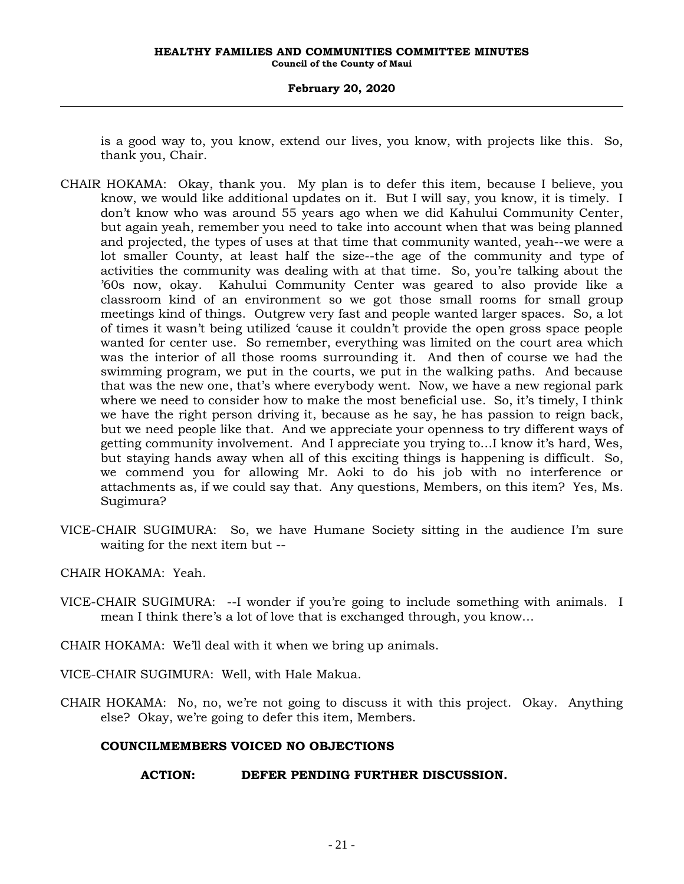## **February 20, 2020**

is a good way to, you know, extend our lives, you know, with projects like this. So, thank you, Chair.

- CHAIR HOKAMA: Okay, thank you. My plan is to defer this item, because I believe, you know, we would like additional updates on it. But I will say, you know, it is timely. I don't know who was around 55 years ago when we did Kahului Community Center, but again yeah, remember you need to take into account when that was being planned and projected, the types of uses at that time that community wanted, yeah--we were a lot smaller County, at least half the size--the age of the community and type of activities the community was dealing with at that time. So, you're talking about the '60s now, okay. Kahului Community Center was geared to also provide like a classroom kind of an environment so we got those small rooms for small group meetings kind of things. Outgrew very fast and people wanted larger spaces. So, a lot of times it wasn't being utilized 'cause it couldn't provide the open gross space people wanted for center use. So remember, everything was limited on the court area which was the interior of all those rooms surrounding it. And then of course we had the swimming program, we put in the courts, we put in the walking paths. And because that was the new one, that's where everybody went. Now, we have a new regional park where we need to consider how to make the most beneficial use. So, it's timely, I think we have the right person driving it, because as he say, he has passion to reign back, but we need people like that. And we appreciate your openness to try different ways of getting community involvement. And I appreciate you trying to…I know it's hard, Wes, but staying hands away when all of this exciting things is happening is difficult. So, we commend you for allowing Mr. Aoki to do his job with no interference or attachments as, if we could say that. Any questions, Members, on this item? Yes, Ms. Sugimura?
- VICE-CHAIR SUGIMURA: So, we have Humane Society sitting in the audience I'm sure waiting for the next item but --
- CHAIR HOKAMA: Yeah.
- VICE-CHAIR SUGIMURA: --I wonder if you're going to include something with animals. I mean I think there's a lot of love that is exchanged through, you know…
- CHAIR HOKAMA: We'll deal with it when we bring up animals.

VICE-CHAIR SUGIMURA: Well, with Hale Makua.

CHAIR HOKAMA: No, no, we're not going to discuss it with this project. Okay. Anything else? Okay, we're going to defer this item, Members.

# **COUNCILMEMBERS VOICED NO OBJECTIONS**

# **ACTION: DEFER PENDING FURTHER DISCUSSION.**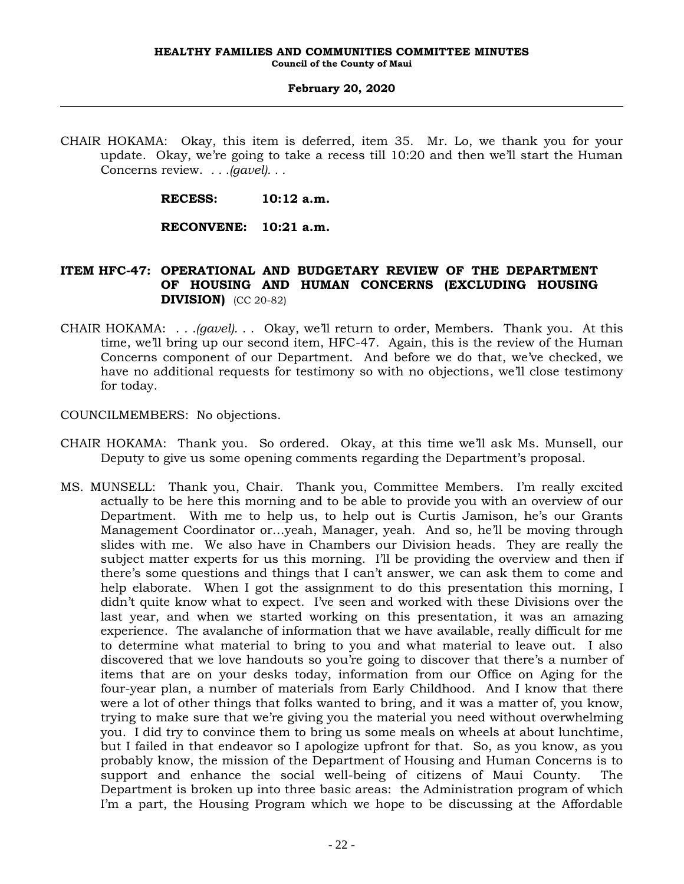CHAIR HOKAMA: Okay, this item is deferred, item 35. Mr. Lo, we thank you for your update. Okay, we're going to take a recess till 10:20 and then we'll start the Human Concerns review. *. . .(gavel). . .*

**RECESS: 10:12 a.m.**

**RECONVENE: 10:21 a.m.**

# **ITEM HFC-47: OPERATIONAL AND BUDGETARY REVIEW OF THE DEPARTMENT OF HOUSING AND HUMAN CONCERNS (EXCLUDING HOUSING DIVISION)** (CC 20-82)

CHAIR HOKAMA: *. . .(gavel). . .* Okay, we'll return to order, Members. Thank you. At this time, we'll bring up our second item, HFC-47. Again, this is the review of the Human Concerns component of our Department. And before we do that, we've checked, we have no additional requests for testimony so with no objections, we'll close testimony for today.

COUNCILMEMBERS: No objections.

- CHAIR HOKAMA: Thank you. So ordered. Okay, at this time we'll ask Ms. Munsell, our Deputy to give us some opening comments regarding the Department's proposal.
- MS. MUNSELL: Thank you, Chair. Thank you, Committee Members. I'm really excited actually to be here this morning and to be able to provide you with an overview of our Department. With me to help us, to help out is Curtis Jamison, he's our Grants Management Coordinator or…yeah, Manager, yeah. And so, he'll be moving through slides with me. We also have in Chambers our Division heads. They are really the subject matter experts for us this morning. I'll be providing the overview and then if there's some questions and things that I can't answer, we can ask them to come and help elaborate. When I got the assignment to do this presentation this morning, I didn't quite know what to expect. I've seen and worked with these Divisions over the last year, and when we started working on this presentation, it was an amazing experience. The avalanche of information that we have available, really difficult for me to determine what material to bring to you and what material to leave out. I also discovered that we love handouts so you're going to discover that there's a number of items that are on your desks today, information from our Office on Aging for the four-year plan, a number of materials from Early Childhood. And I know that there were a lot of other things that folks wanted to bring, and it was a matter of, you know, trying to make sure that we're giving you the material you need without overwhelming you. I did try to convince them to bring us some meals on wheels at about lunchtime, but I failed in that endeavor so I apologize upfront for that. So, as you know, as you probably know, the mission of the Department of Housing and Human Concerns is to support and enhance the social well-being of citizens of Maui County. The Department is broken up into three basic areas: the Administration program of which I'm a part, the Housing Program which we hope to be discussing at the Affordable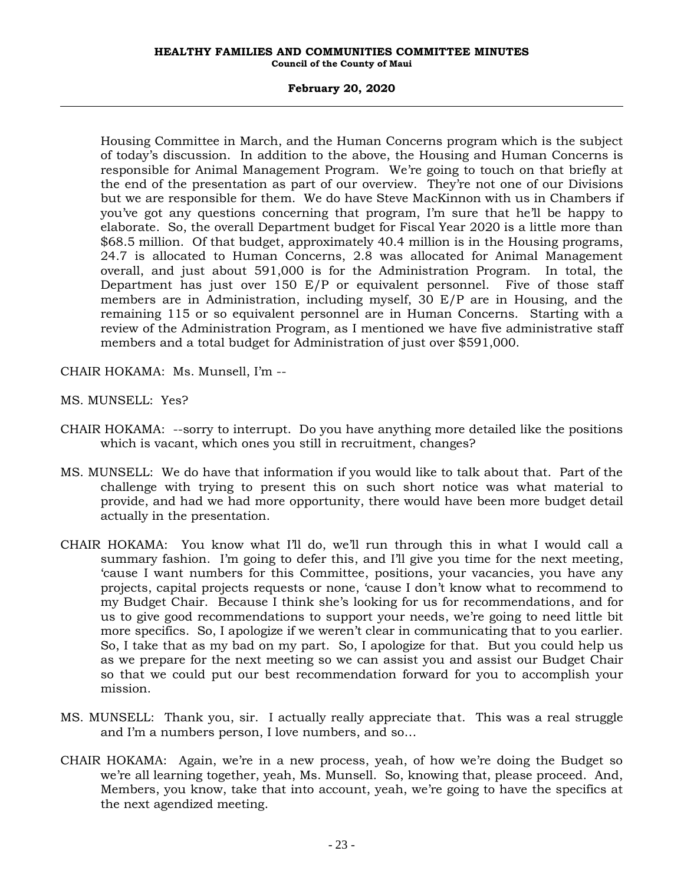# **February 20, 2020**

Housing Committee in March, and the Human Concerns program which is the subject of today's discussion. In addition to the above, the Housing and Human Concerns is responsible for Animal Management Program. We're going to touch on that briefly at the end of the presentation as part of our overview. They're not one of our Divisions but we are responsible for them. We do have Steve MacKinnon with us in Chambers if you've got any questions concerning that program, I'm sure that he'll be happy to elaborate. So, the overall Department budget for Fiscal Year 2020 is a little more than \$68.5 million. Of that budget, approximately 40.4 million is in the Housing programs, 24.7 is allocated to Human Concerns, 2.8 was allocated for Animal Management overall, and just about 591,000 is for the Administration Program. In total, the Department has just over 150 E/P or equivalent personnel. Five of those staff members are in Administration, including myself, 30 E/P are in Housing, and the remaining 115 or so equivalent personnel are in Human Concerns. Starting with a review of the Administration Program, as I mentioned we have five administrative staff members and a total budget for Administration of just over \$591,000.

- CHAIR HOKAMA: Ms. Munsell, I'm --
- MS. MUNSELL: Yes?
- CHAIR HOKAMA: --sorry to interrupt. Do you have anything more detailed like the positions which is vacant, which ones you still in recruitment, changes?
- MS. MUNSELL: We do have that information if you would like to talk about that. Part of the challenge with trying to present this on such short notice was what material to provide, and had we had more opportunity, there would have been more budget detail actually in the presentation.
- CHAIR HOKAMA: You know what I'll do, we'll run through this in what I would call a summary fashion. I'm going to defer this, and I'll give you time for the next meeting, 'cause I want numbers for this Committee, positions, your vacancies, you have any projects, capital projects requests or none, 'cause I don't know what to recommend to my Budget Chair. Because I think she's looking for us for recommendations, and for us to give good recommendations to support your needs, we're going to need little bit more specifics. So, I apologize if we weren't clear in communicating that to you earlier. So, I take that as my bad on my part. So, I apologize for that. But you could help us as we prepare for the next meeting so we can assist you and assist our Budget Chair so that we could put our best recommendation forward for you to accomplish your mission.
- MS. MUNSELL: Thank you, sir. I actually really appreciate that. This was a real struggle and I'm a numbers person, I love numbers, and so…
- CHAIR HOKAMA: Again, we're in a new process, yeah, of how we're doing the Budget so we're all learning together, yeah, Ms. Munsell. So, knowing that, please proceed. And, Members, you know, take that into account, yeah, we're going to have the specifics at the next agendized meeting.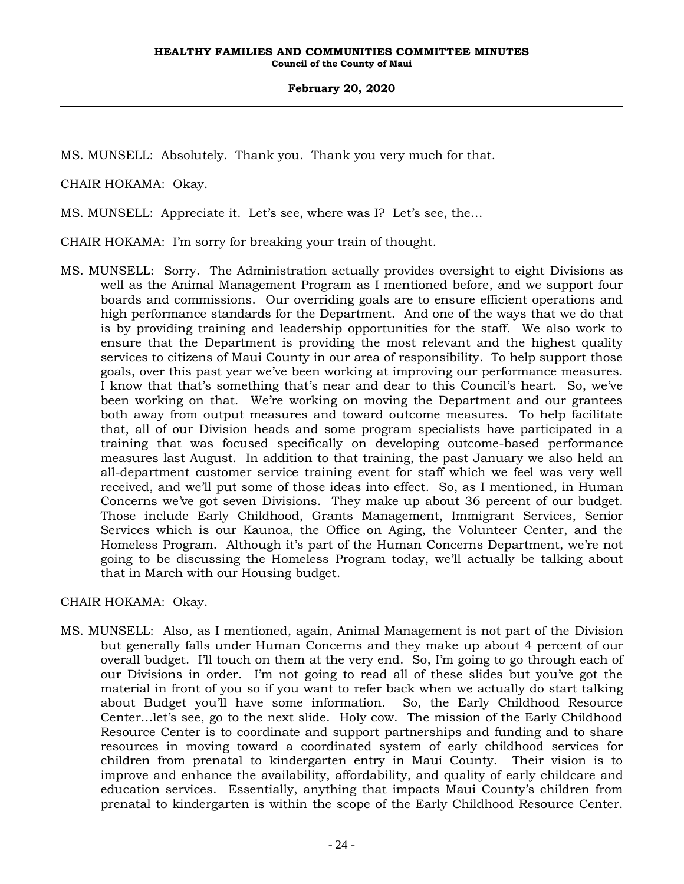MS. MUNSELL: Absolutely. Thank you. Thank you very much for that.

CHAIR HOKAMA: Okay.

MS. MUNSELL: Appreciate it. Let's see, where was I? Let's see, the…

CHAIR HOKAMA: I'm sorry for breaking your train of thought.

MS. MUNSELL: Sorry. The Administration actually provides oversight to eight Divisions as well as the Animal Management Program as I mentioned before, and we support four boards and commissions. Our overriding goals are to ensure efficient operations and high performance standards for the Department. And one of the ways that we do that is by providing training and leadership opportunities for the staff. We also work to ensure that the Department is providing the most relevant and the highest quality services to citizens of Maui County in our area of responsibility. To help support those goals, over this past year we've been working at improving our performance measures. I know that that's something that's near and dear to this Council's heart. So, we've been working on that. We're working on moving the Department and our grantees both away from output measures and toward outcome measures. To help facilitate that, all of our Division heads and some program specialists have participated in a training that was focused specifically on developing outcome-based performance measures last August. In addition to that training, the past January we also held an all-department customer service training event for staff which we feel was very well received, and we'll put some of those ideas into effect. So, as I mentioned, in Human Concerns we've got seven Divisions. They make up about 36 percent of our budget. Those include Early Childhood, Grants Management, Immigrant Services, Senior Services which is our Kaunoa, the Office on Aging, the Volunteer Center, and the Homeless Program. Although it's part of the Human Concerns Department, we're not going to be discussing the Homeless Program today, we'll actually be talking about that in March with our Housing budget.

CHAIR HOKAMA: Okay.

MS. MUNSELL: Also, as I mentioned, again, Animal Management is not part of the Division but generally falls under Human Concerns and they make up about 4 percent of our overall budget. I'll touch on them at the very end. So, I'm going to go through each of our Divisions in order. I'm not going to read all of these slides but you've got the material in front of you so if you want to refer back when we actually do start talking about Budget you'll have some information. So, the Early Childhood Resource Center…let's see, go to the next slide. Holy cow. The mission of the Early Childhood Resource Center is to coordinate and support partnerships and funding and to share resources in moving toward a coordinated system of early childhood services for children from prenatal to kindergarten entry in Maui County. Their vision is to improve and enhance the availability, affordability, and quality of early childcare and education services. Essentially, anything that impacts Maui County's children from prenatal to kindergarten is within the scope of the Early Childhood Resource Center.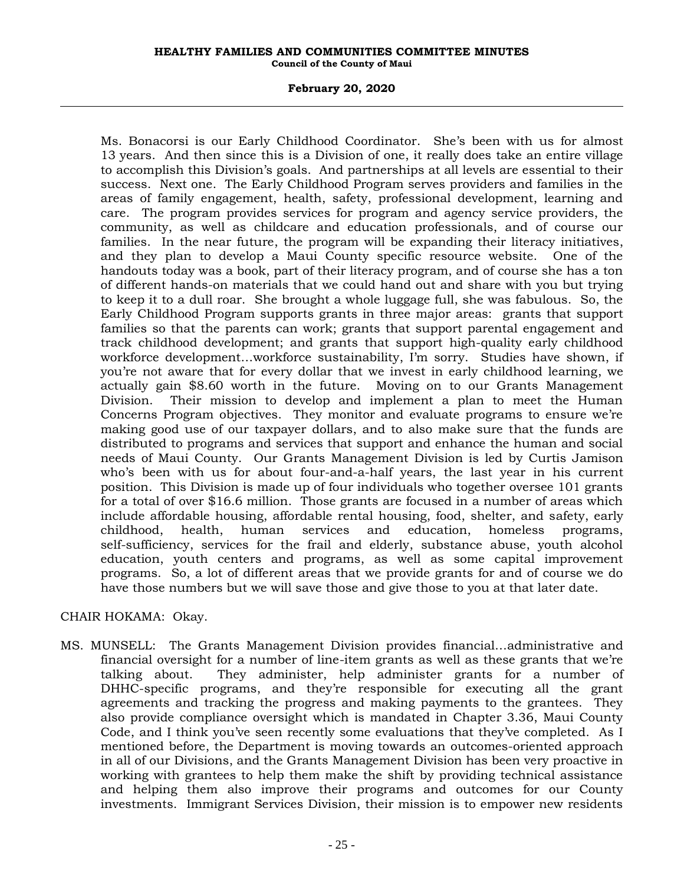## **February 20, 2020**

Ms. Bonacorsi is our Early Childhood Coordinator. She's been with us for almost 13 years. And then since this is a Division of one, it really does take an entire village to accomplish this Division's goals. And partnerships at all levels are essential to their success. Next one. The Early Childhood Program serves providers and families in the areas of family engagement, health, safety, professional development, learning and care. The program provides services for program and agency service providers, the community, as well as childcare and education professionals, and of course our families. In the near future, the program will be expanding their literacy initiatives, and they plan to develop a Maui County specific resource website. One of the handouts today was a book, part of their literacy program, and of course she has a ton of different hands-on materials that we could hand out and share with you but trying to keep it to a dull roar. She brought a whole luggage full, she was fabulous. So, the Early Childhood Program supports grants in three major areas: grants that support families so that the parents can work; grants that support parental engagement and track childhood development; and grants that support high-quality early childhood workforce development…workforce sustainability, I'm sorry. Studies have shown, if you're not aware that for every dollar that we invest in early childhood learning, we actually gain \$8.60 worth in the future. Moving on to our Grants Management Division. Their mission to develop and implement a plan to meet the Human Concerns Program objectives. They monitor and evaluate programs to ensure we're making good use of our taxpayer dollars, and to also make sure that the funds are distributed to programs and services that support and enhance the human and social needs of Maui County. Our Grants Management Division is led by Curtis Jamison who's been with us for about four-and-a-half years, the last year in his current position. This Division is made up of four individuals who together oversee 101 grants for a total of over \$16.6 million. Those grants are focused in a number of areas which include affordable housing, affordable rental housing, food, shelter, and safety, early childhood, health, human services and education, homeless programs, self-sufficiency, services for the frail and elderly, substance abuse, youth alcohol education, youth centers and programs, as well as some capital improvement programs. So, a lot of different areas that we provide grants for and of course we do have those numbers but we will save those and give those to you at that later date.

# CHAIR HOKAMA: Okay.

MS. MUNSELL: The Grants Management Division provides financial…administrative and financial oversight for a number of line-item grants as well as these grants that we're talking about. They administer, help administer grants for a number of DHHC-specific programs, and they're responsible for executing all the grant agreements and tracking the progress and making payments to the grantees. They also provide compliance oversight which is mandated in Chapter 3.36, Maui County Code, and I think you've seen recently some evaluations that they've completed. As I mentioned before, the Department is moving towards an outcomes-oriented approach in all of our Divisions, and the Grants Management Division has been very proactive in working with grantees to help them make the shift by providing technical assistance and helping them also improve their programs and outcomes for our County investments. Immigrant Services Division, their mission is to empower new residents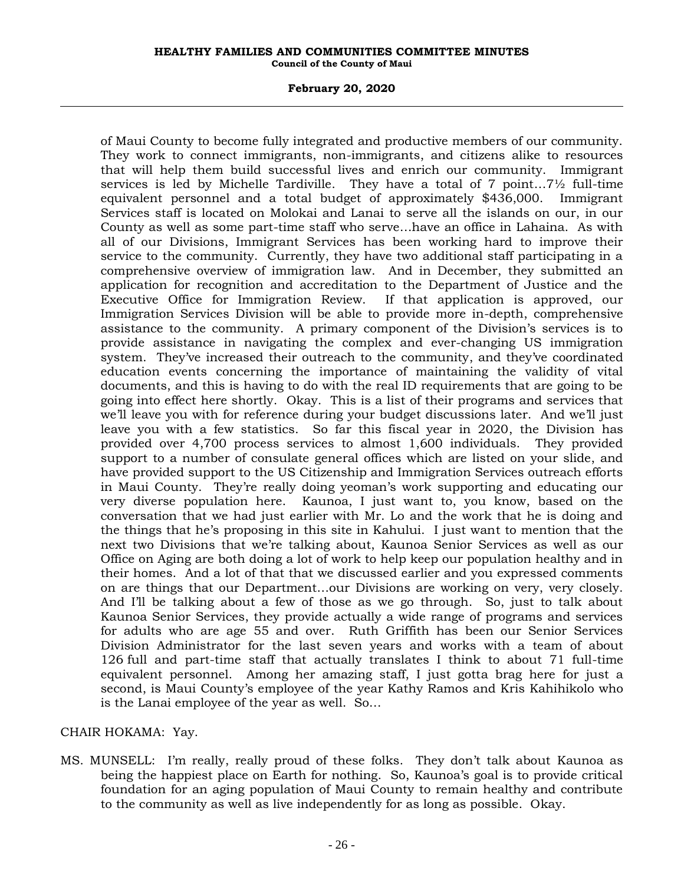# **February 20, 2020**

of Maui County to become fully integrated and productive members of our community. They work to connect immigrants, non-immigrants, and citizens alike to resources that will help them build successful lives and enrich our community. Immigrant services is led by Michelle Tardiville. They have a total of 7 point…7½ full-time equivalent personnel and a total budget of approximately \$436,000. Immigrant Services staff is located on Molokai and Lanai to serve all the islands on our, in our County as well as some part-time staff who serve…have an office in Lahaina. As with all of our Divisions, Immigrant Services has been working hard to improve their service to the community. Currently, they have two additional staff participating in a comprehensive overview of immigration law. And in December, they submitted an application for recognition and accreditation to the Department of Justice and the Executive Office for Immigration Review. If that application is approved, our Immigration Services Division will be able to provide more in-depth, comprehensive assistance to the community. A primary component of the Division's services is to provide assistance in navigating the complex and ever-changing US immigration system. They've increased their outreach to the community, and they've coordinated education events concerning the importance of maintaining the validity of vital documents, and this is having to do with the real ID requirements that are going to be going into effect here shortly. Okay. This is a list of their programs and services that we'll leave you with for reference during your budget discussions later. And we'll just leave you with a few statistics. So far this fiscal year in 2020, the Division has provided over 4,700 process services to almost 1,600 individuals. They provided support to a number of consulate general offices which are listed on your slide, and have provided support to the US Citizenship and Immigration Services outreach efforts in Maui County. They're really doing yeoman's work supporting and educating our very diverse population here. Kaunoa, I just want to, you know, based on the conversation that we had just earlier with Mr. Lo and the work that he is doing and the things that he's proposing in this site in Kahului. I just want to mention that the next two Divisions that we're talking about, Kaunoa Senior Services as well as our Office on Aging are both doing a lot of work to help keep our population healthy and in their homes. And a lot of that that we discussed earlier and you expressed comments on are things that our Department…our Divisions are working on very, very closely. And I'll be talking about a few of those as we go through. So, just to talk about Kaunoa Senior Services, they provide actually a wide range of programs and services for adults who are age 55 and over. Ruth Griffith has been our Senior Services Division Administrator for the last seven years and works with a team of about 126 full and part-time staff that actually translates I think to about 71 full-time equivalent personnel. Among her amazing staff, I just gotta brag here for just a second, is Maui County's employee of the year Kathy Ramos and Kris Kahihikolo who is the Lanai employee of the year as well. So…

# CHAIR HOKAMA: Yay.

MS. MUNSELL: I'm really, really proud of these folks. They don't talk about Kaunoa as being the happiest place on Earth for nothing. So, Kaunoa's goal is to provide critical foundation for an aging population of Maui County to remain healthy and contribute to the community as well as live independently for as long as possible. Okay.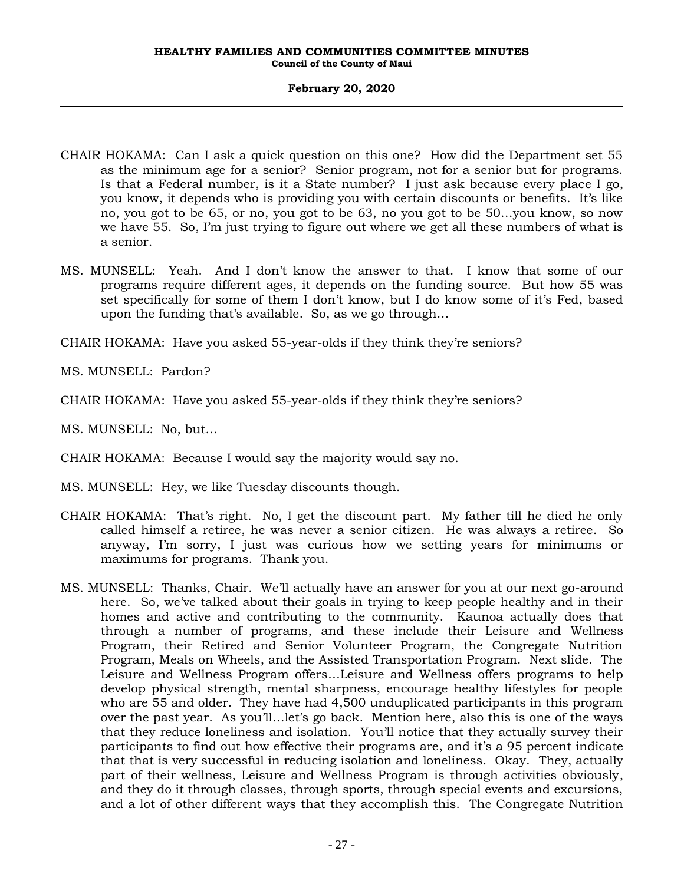- CHAIR HOKAMA: Can I ask a quick question on this one? How did the Department set 55 as the minimum age for a senior? Senior program, not for a senior but for programs. Is that a Federal number, is it a State number? I just ask because every place I go, you know, it depends who is providing you with certain discounts or benefits. It's like no, you got to be 65, or no, you got to be 63, no you got to be 50…you know, so now we have 55. So, I'm just trying to figure out where we get all these numbers of what is a senior.
- MS. MUNSELL: Yeah. And I don't know the answer to that. I know that some of our programs require different ages, it depends on the funding source. But how 55 was set specifically for some of them I don't know, but I do know some of it's Fed, based upon the funding that's available. So, as we go through…

CHAIR HOKAMA: Have you asked 55-year-olds if they think they're seniors?

MS. MUNSELL: Pardon?

CHAIR HOKAMA: Have you asked 55-year-olds if they think they're seniors?

MS. MUNSELL: No, but…

CHAIR HOKAMA: Because I would say the majority would say no.

MS. MUNSELL: Hey, we like Tuesday discounts though.

- CHAIR HOKAMA: That's right. No, I get the discount part. My father till he died he only called himself a retiree, he was never a senior citizen. He was always a retiree. So anyway, I'm sorry, I just was curious how we setting years for minimums or maximums for programs. Thank you.
- MS. MUNSELL: Thanks, Chair. We'll actually have an answer for you at our next go-around here. So, we've talked about their goals in trying to keep people healthy and in their homes and active and contributing to the community. Kaunoa actually does that through a number of programs, and these include their Leisure and Wellness Program, their Retired and Senior Volunteer Program, the Congregate Nutrition Program, Meals on Wheels, and the Assisted Transportation Program. Next slide. The Leisure and Wellness Program offers…Leisure and Wellness offers programs to help develop physical strength, mental sharpness, encourage healthy lifestyles for people who are 55 and older. They have had 4,500 unduplicated participants in this program over the past year. As you'll…let's go back. Mention here, also this is one of the ways that they reduce loneliness and isolation. You'll notice that they actually survey their participants to find out how effective their programs are, and it's a 95 percent indicate that that is very successful in reducing isolation and loneliness. Okay. They, actually part of their wellness, Leisure and Wellness Program is through activities obviously, and they do it through classes, through sports, through special events and excursions, and a lot of other different ways that they accomplish this. The Congregate Nutrition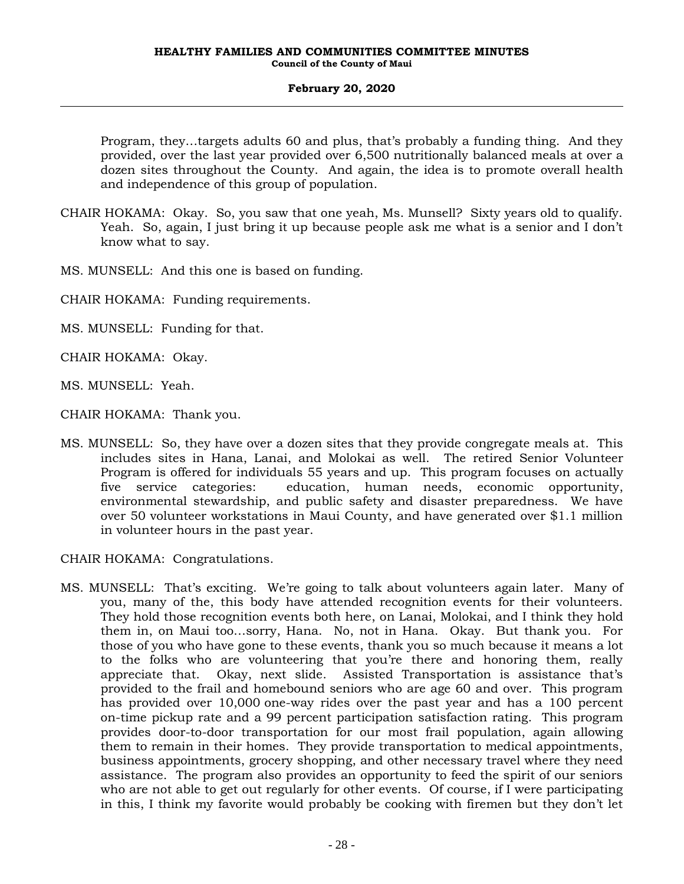Program, they…targets adults 60 and plus, that's probably a funding thing. And they provided, over the last year provided over 6,500 nutritionally balanced meals at over a dozen sites throughout the County. And again, the idea is to promote overall health and independence of this group of population.

- CHAIR HOKAMA: Okay. So, you saw that one yeah, Ms. Munsell? Sixty years old to qualify. Yeah. So, again, I just bring it up because people ask me what is a senior and I don't know what to say.
- MS. MUNSELL: And this one is based on funding.
- CHAIR HOKAMA: Funding requirements.
- MS. MUNSELL: Funding for that.
- CHAIR HOKAMA: Okay.
- MS. MUNSELL: Yeah.
- CHAIR HOKAMA: Thank you.
- MS. MUNSELL: So, they have over a dozen sites that they provide congregate meals at. This includes sites in Hana, Lanai, and Molokai as well. The retired Senior Volunteer Program is offered for individuals 55 years and up. This program focuses on actually five service categories: education, human needs, economic opportunity, environmental stewardship, and public safety and disaster preparedness. We have over 50 volunteer workstations in Maui County, and have generated over \$1.1 million in volunteer hours in the past year.

CHAIR HOKAMA: Congratulations.

MS. MUNSELL: That's exciting. We're going to talk about volunteers again later. Many of you, many of the, this body have attended recognition events for their volunteers. They hold those recognition events both here, on Lanai, Molokai, and I think they hold them in, on Maui too…sorry, Hana. No, not in Hana. Okay. But thank you. For those of you who have gone to these events, thank you so much because it means a lot to the folks who are volunteering that you're there and honoring them, really appreciate that. Okay, next slide. Assisted Transportation is assistance that's provided to the frail and homebound seniors who are age 60 and over. This program has provided over 10,000 one-way rides over the past year and has a 100 percent on-time pickup rate and a 99 percent participation satisfaction rating. This program provides door-to-door transportation for our most frail population, again allowing them to remain in their homes. They provide transportation to medical appointments, business appointments, grocery shopping, and other necessary travel where they need assistance. The program also provides an opportunity to feed the spirit of our seniors who are not able to get out regularly for other events. Of course, if I were participating in this, I think my favorite would probably be cooking with firemen but they don't let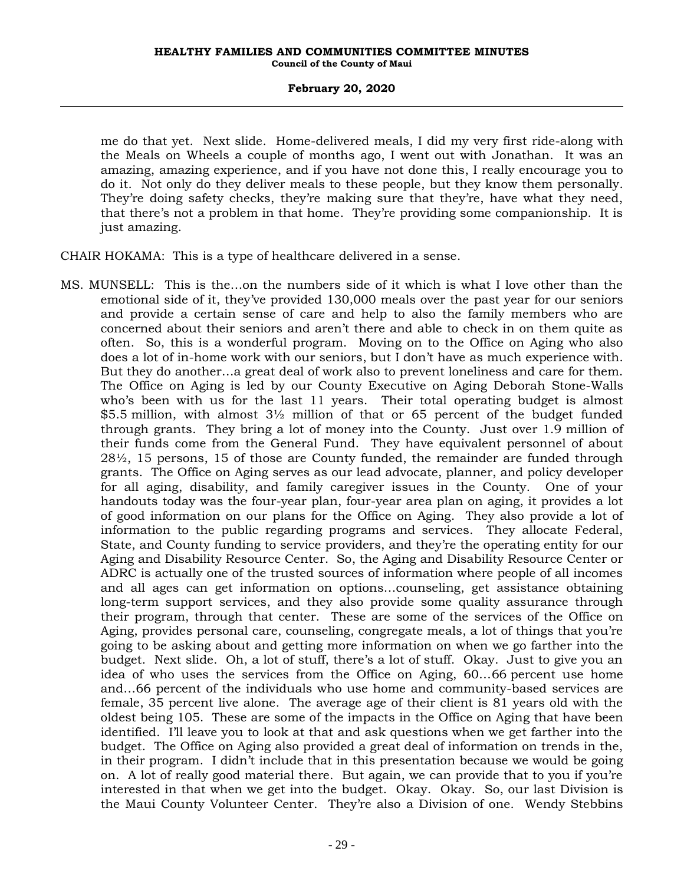me do that yet. Next slide. Home-delivered meals, I did my very first ride-along with the Meals on Wheels a couple of months ago, I went out with Jonathan. It was an amazing, amazing experience, and if you have not done this, I really encourage you to do it. Not only do they deliver meals to these people, but they know them personally. They're doing safety checks, they're making sure that they're, have what they need, that there's not a problem in that home. They're providing some companionship. It is just amazing.

CHAIR HOKAMA: This is a type of healthcare delivered in a sense.

MS. MUNSELL: This is the…on the numbers side of it which is what I love other than the emotional side of it, they've provided 130,000 meals over the past year for our seniors and provide a certain sense of care and help to also the family members who are concerned about their seniors and aren't there and able to check in on them quite as often. So, this is a wonderful program. Moving on to the Office on Aging who also does a lot of in-home work with our seniors, but I don't have as much experience with. But they do another…a great deal of work also to prevent loneliness and care for them. The Office on Aging is led by our County Executive on Aging Deborah Stone-Walls who's been with us for the last 11 years. Their total operating budget is almost \$5.5 million, with almost 3½ million of that or 65 percent of the budget funded through grants. They bring a lot of money into the County. Just over 1.9 million of their funds come from the General Fund. They have equivalent personnel of about  $28\frac{1}{2}$ , 15 persons, 15 of those are County funded, the remainder are funded through grants. The Office on Aging serves as our lead advocate, planner, and policy developer for all aging, disability, and family caregiver issues in the County. One of your handouts today was the four-year plan, four-year area plan on aging, it provides a lot of good information on our plans for the Office on Aging. They also provide a lot of information to the public regarding programs and services. They allocate Federal, State, and County funding to service providers, and they're the operating entity for our Aging and Disability Resource Center. So, the Aging and Disability Resource Center or ADRC is actually one of the trusted sources of information where people of all incomes and all ages can get information on options…counseling, get assistance obtaining long-term support services, and they also provide some quality assurance through their program, through that center. These are some of the services of the Office on Aging, provides personal care, counseling, congregate meals, a lot of things that you're going to be asking about and getting more information on when we go farther into the budget. Next slide. Oh, a lot of stuff, there's a lot of stuff. Okay. Just to give you an idea of who uses the services from the Office on Aging, 60…66 percent use home and…66 percent of the individuals who use home and community-based services are female, 35 percent live alone. The average age of their client is 81 years old with the oldest being 105. These are some of the impacts in the Office on Aging that have been identified. I'll leave you to look at that and ask questions when we get farther into the budget. The Office on Aging also provided a great deal of information on trends in the, in their program. I didn't include that in this presentation because we would be going on. A lot of really good material there. But again, we can provide that to you if you're interested in that when we get into the budget. Okay. Okay. So, our last Division is the Maui County Volunteer Center. They're also a Division of one. Wendy Stebbins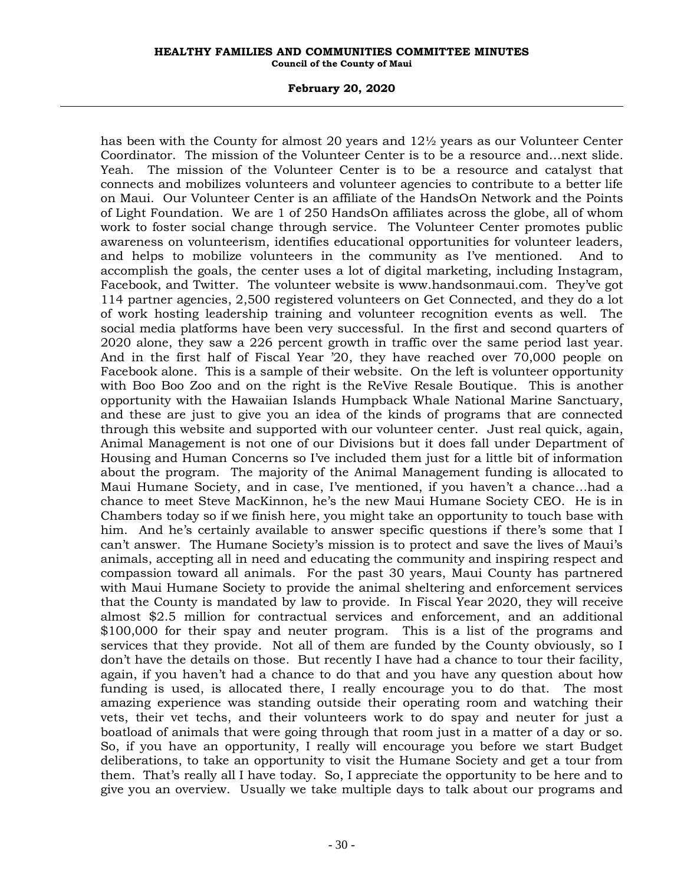# **February 20, 2020**

has been with the County for almost 20 years and 12½ years as our Volunteer Center Coordinator. The mission of the Volunteer Center is to be a resource and…next slide. Yeah. The mission of the Volunteer Center is to be a resource and catalyst that connects and mobilizes volunteers and volunteer agencies to contribute to a better life on Maui. Our Volunteer Center is an affiliate of the HandsOn Network and the Points of Light Foundation. We are 1 of 250 HandsOn affiliates across the globe, all of whom work to foster social change through service. The Volunteer Center promotes public awareness on volunteerism, identifies educational opportunities for volunteer leaders, and helps to mobilize volunteers in the community as I've mentioned. And to accomplish the goals, the center uses a lot of digital marketing, including Instagram, Facebook, and Twitter. The volunteer website is www.handsonmaui.com. They've got 114 partner agencies, 2,500 registered volunteers on Get Connected, and they do a lot of work hosting leadership training and volunteer recognition events as well. The social media platforms have been very successful. In the first and second quarters of 2020 alone, they saw a 226 percent growth in traffic over the same period last year. And in the first half of Fiscal Year '20, they have reached over 70,000 people on Facebook alone. This is a sample of their website. On the left is volunteer opportunity with Boo Boo Zoo and on the right is the ReVive Resale Boutique. This is another opportunity with the Hawaiian Islands Humpback Whale National Marine Sanctuary, and these are just to give you an idea of the kinds of programs that are connected through this website and supported with our volunteer center. Just real quick, again, Animal Management is not one of our Divisions but it does fall under Department of Housing and Human Concerns so I've included them just for a little bit of information about the program. The majority of the Animal Management funding is allocated to Maui Humane Society, and in case, I've mentioned, if you haven't a chance…had a chance to meet Steve MacKinnon, he's the new Maui Humane Society CEO. He is in Chambers today so if we finish here, you might take an opportunity to touch base with him. And he's certainly available to answer specific questions if there's some that I can't answer. The Humane Society's mission is to protect and save the lives of Maui's animals, accepting all in need and educating the community and inspiring respect and compassion toward all animals. For the past 30 years, Maui County has partnered with Maui Humane Society to provide the animal sheltering and enforcement services that the County is mandated by law to provide. In Fiscal Year 2020, they will receive almost \$2.5 million for contractual services and enforcement, and an additional \$100,000 for their spay and neuter program. This is a list of the programs and services that they provide. Not all of them are funded by the County obviously, so I don't have the details on those. But recently I have had a chance to tour their facility, again, if you haven't had a chance to do that and you have any question about how funding is used, is allocated there, I really encourage you to do that. The most amazing experience was standing outside their operating room and watching their vets, their vet techs, and their volunteers work to do spay and neuter for just a boatload of animals that were going through that room just in a matter of a day or so. So, if you have an opportunity, I really will encourage you before we start Budget deliberations, to take an opportunity to visit the Humane Society and get a tour from them. That's really all I have today. So, I appreciate the opportunity to be here and to give you an overview. Usually we take multiple days to talk about our programs and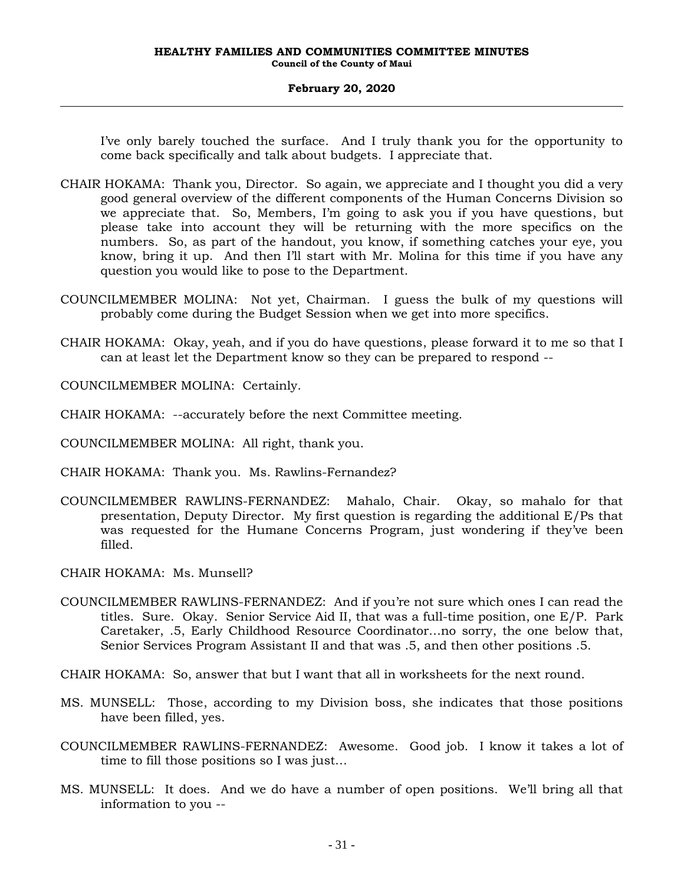I've only barely touched the surface. And I truly thank you for the opportunity to come back specifically and talk about budgets. I appreciate that.

- CHAIR HOKAMA: Thank you, Director. So again, we appreciate and I thought you did a very good general overview of the different components of the Human Concerns Division so we appreciate that. So, Members, I'm going to ask you if you have questions, but please take into account they will be returning with the more specifics on the numbers. So, as part of the handout, you know, if something catches your eye, you know, bring it up. And then I'll start with Mr. Molina for this time if you have any question you would like to pose to the Department.
- COUNCILMEMBER MOLINA: Not yet, Chairman. I guess the bulk of my questions will probably come during the Budget Session when we get into more specifics.
- CHAIR HOKAMA: Okay, yeah, and if you do have questions, please forward it to me so that I can at least let the Department know so they can be prepared to respond --

COUNCILMEMBER MOLINA: Certainly.

- CHAIR HOKAMA: --accurately before the next Committee meeting.
- COUNCILMEMBER MOLINA: All right, thank you.
- CHAIR HOKAMA: Thank you. Ms. Rawlins-Fernandez?
- COUNCILMEMBER RAWLINS-FERNANDEZ: Mahalo, Chair. Okay, so mahalo for that presentation, Deputy Director. My first question is regarding the additional E/Ps that was requested for the Humane Concerns Program, just wondering if they've been filled.
- CHAIR HOKAMA: Ms. Munsell?
- COUNCILMEMBER RAWLINS-FERNANDEZ: And if you're not sure which ones I can read the titles. Sure. Okay. Senior Service Aid II, that was a full-time position, one E/P. Park Caretaker, .5, Early Childhood Resource Coordinator…no sorry, the one below that, Senior Services Program Assistant II and that was .5, and then other positions .5.
- CHAIR HOKAMA: So, answer that but I want that all in worksheets for the next round.
- MS. MUNSELL: Those, according to my Division boss, she indicates that those positions have been filled, yes.
- COUNCILMEMBER RAWLINS-FERNANDEZ: Awesome. Good job. I know it takes a lot of time to fill those positions so I was just…
- MS. MUNSELL: It does. And we do have a number of open positions. We'll bring all that information to you --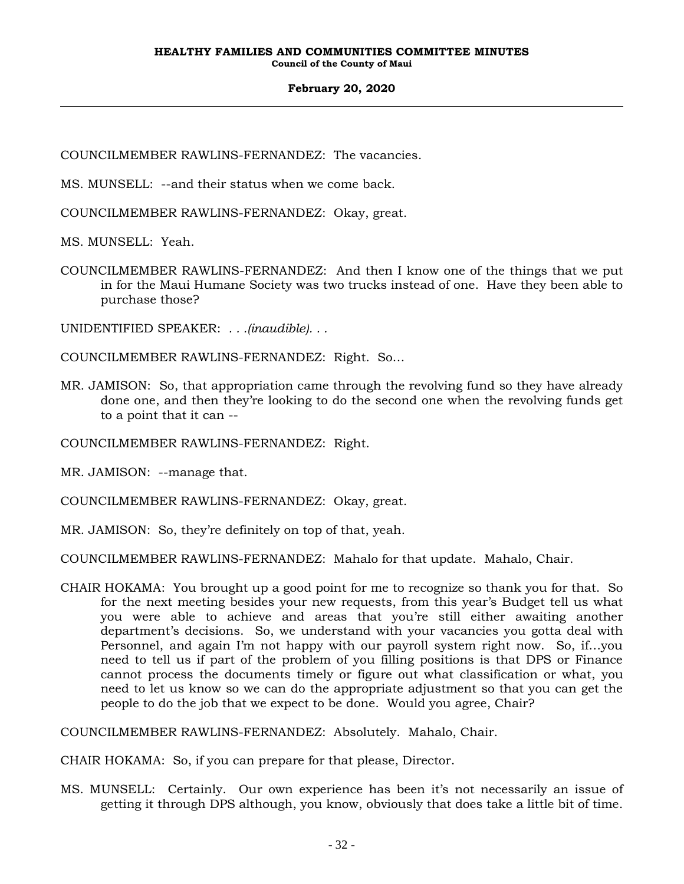COUNCILMEMBER RAWLINS-FERNANDEZ: The vacancies.

MS. MUNSELL: --and their status when we come back.

COUNCILMEMBER RAWLINS-FERNANDEZ: Okay, great.

MS. MUNSELL: Yeah.

COUNCILMEMBER RAWLINS-FERNANDEZ: And then I know one of the things that we put in for the Maui Humane Society was two trucks instead of one. Have they been able to purchase those?

UNIDENTIFIED SPEAKER: *. . .(inaudible). . .*

COUNCILMEMBER RAWLINS-FERNANDEZ: Right. So…

MR. JAMISON: So, that appropriation came through the revolving fund so they have already done one, and then they're looking to do the second one when the revolving funds get to a point that it can --

COUNCILMEMBER RAWLINS-FERNANDEZ: Right.

MR. JAMISON: --manage that.

COUNCILMEMBER RAWLINS-FERNANDEZ: Okay, great.

MR. JAMISON: So, they're definitely on top of that, yeah.

COUNCILMEMBER RAWLINS-FERNANDEZ: Mahalo for that update. Mahalo, Chair.

CHAIR HOKAMA: You brought up a good point for me to recognize so thank you for that. So for the next meeting besides your new requests, from this year's Budget tell us what you were able to achieve and areas that you're still either awaiting another department's decisions. So, we understand with your vacancies you gotta deal with Personnel, and again I'm not happy with our payroll system right now. So, if…you need to tell us if part of the problem of you filling positions is that DPS or Finance cannot process the documents timely or figure out what classification or what, you need to let us know so we can do the appropriate adjustment so that you can get the people to do the job that we expect to be done. Would you agree, Chair?

COUNCILMEMBER RAWLINS-FERNANDEZ: Absolutely. Mahalo, Chair.

CHAIR HOKAMA: So, if you can prepare for that please, Director.

MS. MUNSELL: Certainly. Our own experience has been it's not necessarily an issue of getting it through DPS although, you know, obviously that does take a little bit of time.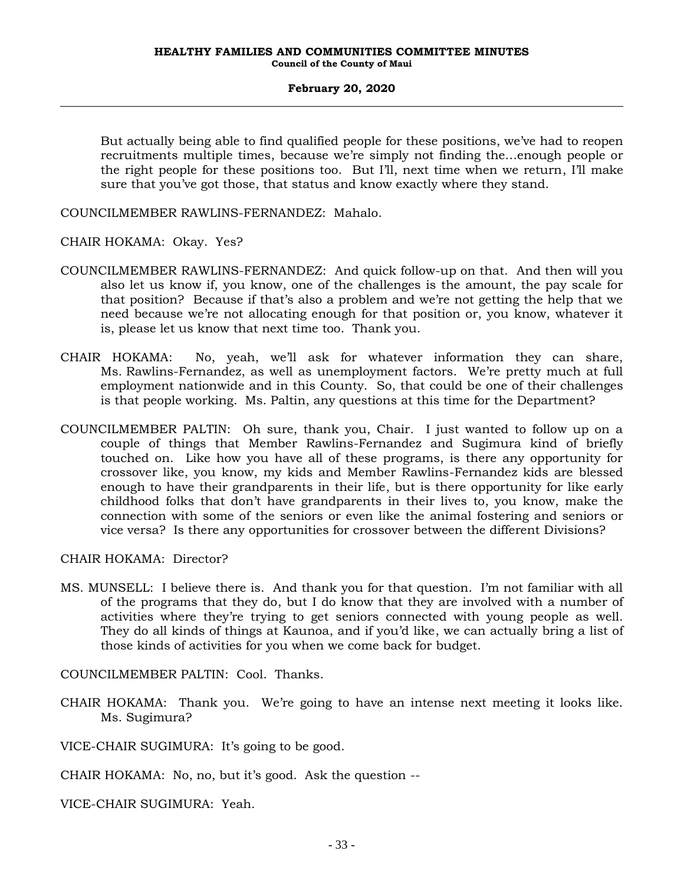But actually being able to find qualified people for these positions, we've had to reopen recruitments multiple times, because we're simply not finding the…enough people or the right people for these positions too. But I'll, next time when we return, I'll make sure that you've got those, that status and know exactly where they stand.

COUNCILMEMBER RAWLINS-FERNANDEZ: Mahalo.

CHAIR HOKAMA: Okay. Yes?

- COUNCILMEMBER RAWLINS-FERNANDEZ: And quick follow-up on that. And then will you also let us know if, you know, one of the challenges is the amount, the pay scale for that position? Because if that's also a problem and we're not getting the help that we need because we're not allocating enough for that position or, you know, whatever it is, please let us know that next time too. Thank you.
- CHAIR HOKAMA: No, yeah, we'll ask for whatever information they can share, Ms. Rawlins-Fernandez, as well as unemployment factors. We're pretty much at full employment nationwide and in this County. So, that could be one of their challenges is that people working. Ms. Paltin, any questions at this time for the Department?
- COUNCILMEMBER PALTIN: Oh sure, thank you, Chair. I just wanted to follow up on a couple of things that Member Rawlins-Fernandez and Sugimura kind of briefly touched on. Like how you have all of these programs, is there any opportunity for crossover like, you know, my kids and Member Rawlins-Fernandez kids are blessed enough to have their grandparents in their life, but is there opportunity for like early childhood folks that don't have grandparents in their lives to, you know, make the connection with some of the seniors or even like the animal fostering and seniors or vice versa? Is there any opportunities for crossover between the different Divisions?

CHAIR HOKAMA: Director?

MS. MUNSELL: I believe there is. And thank you for that question. I'm not familiar with all of the programs that they do, but I do know that they are involved with a number of activities where they're trying to get seniors connected with young people as well. They do all kinds of things at Kaunoa, and if you'd like, we can actually bring a list of those kinds of activities for you when we come back for budget.

COUNCILMEMBER PALTIN: Cool. Thanks.

CHAIR HOKAMA: Thank you. We're going to have an intense next meeting it looks like. Ms. Sugimura?

VICE-CHAIR SUGIMURA: It's going to be good.

CHAIR HOKAMA: No, no, but it's good. Ask the question --

VICE-CHAIR SUGIMURA: Yeah.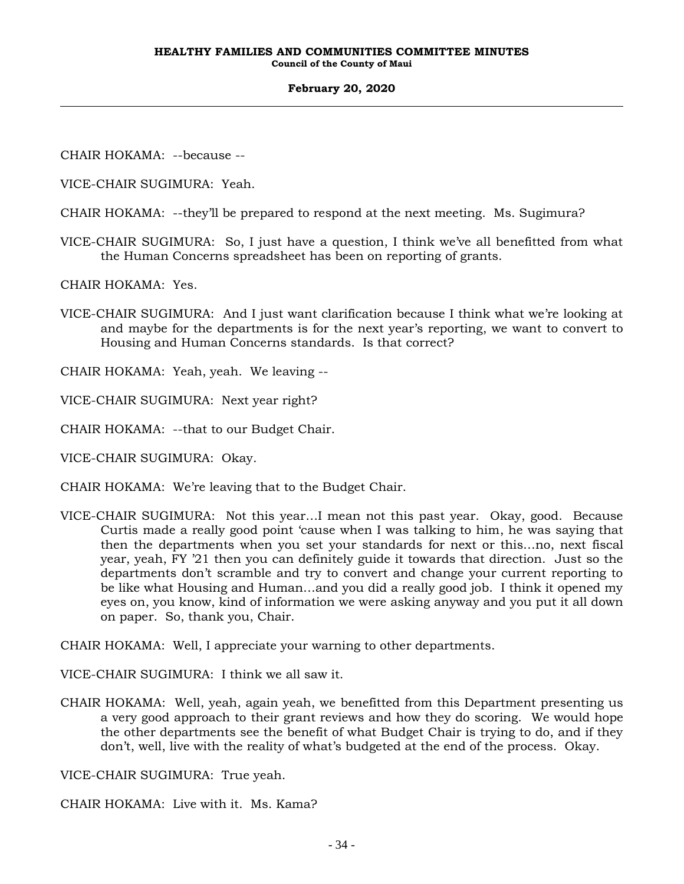CHAIR HOKAMA: --because --

VICE-CHAIR SUGIMURA: Yeah.

CHAIR HOKAMA: --they'll be prepared to respond at the next meeting. Ms. Sugimura?

VICE-CHAIR SUGIMURA: So, I just have a question, I think we've all benefitted from what the Human Concerns spreadsheet has been on reporting of grants.

CHAIR HOKAMA: Yes.

VICE-CHAIR SUGIMURA: And I just want clarification because I think what we're looking at and maybe for the departments is for the next year's reporting, we want to convert to Housing and Human Concerns standards. Is that correct?

CHAIR HOKAMA: Yeah, yeah. We leaving --

VICE-CHAIR SUGIMURA: Next year right?

CHAIR HOKAMA: --that to our Budget Chair.

VICE-CHAIR SUGIMURA: Okay.

CHAIR HOKAMA: We're leaving that to the Budget Chair.

VICE-CHAIR SUGIMURA: Not this year…I mean not this past year. Okay, good. Because Curtis made a really good point 'cause when I was talking to him, he was saying that then the departments when you set your standards for next or this…no, next fiscal year, yeah, FY '21 then you can definitely guide it towards that direction. Just so the departments don't scramble and try to convert and change your current reporting to be like what Housing and Human…and you did a really good job. I think it opened my eyes on, you know, kind of information we were asking anyway and you put it all down on paper. So, thank you, Chair.

CHAIR HOKAMA: Well, I appreciate your warning to other departments.

VICE-CHAIR SUGIMURA: I think we all saw it.

CHAIR HOKAMA: Well, yeah, again yeah, we benefitted from this Department presenting us a very good approach to their grant reviews and how they do scoring. We would hope the other departments see the benefit of what Budget Chair is trying to do, and if they don't, well, live with the reality of what's budgeted at the end of the process. Okay.

VICE-CHAIR SUGIMURA: True yeah.

CHAIR HOKAMA: Live with it. Ms. Kama?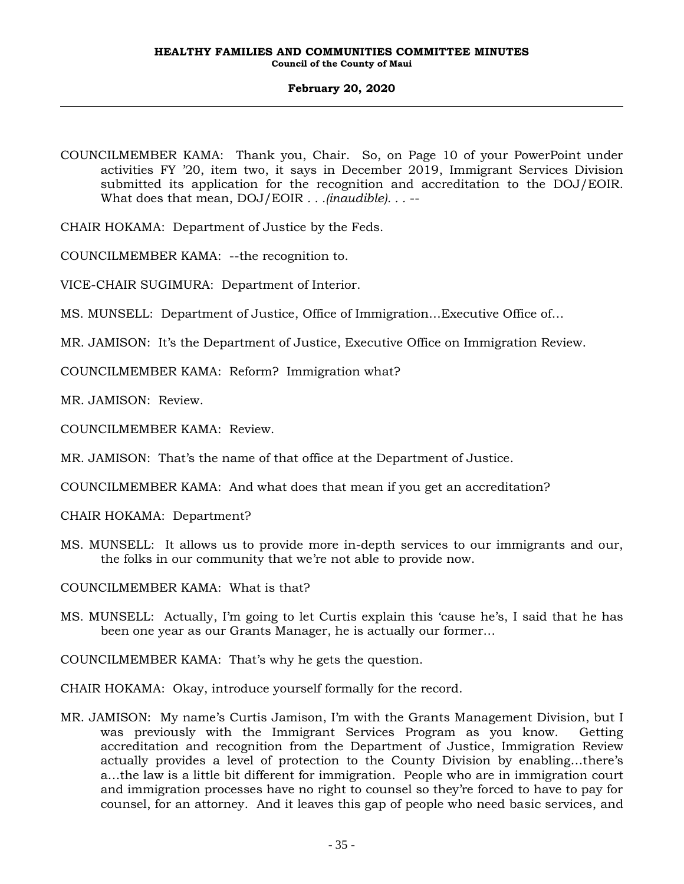- COUNCILMEMBER KAMA: Thank you, Chair. So, on Page 10 of your PowerPoint under activities FY '20, item two, it says in December 2019, Immigrant Services Division submitted its application for the recognition and accreditation to the DOJ/EOIR. What does that mean, DOJ/EOIR *. . .(inaudible). . .* --
- CHAIR HOKAMA: Department of Justice by the Feds.
- COUNCILMEMBER KAMA: --the recognition to.
- VICE-CHAIR SUGIMURA: Department of Interior.
- MS. MUNSELL: Department of Justice, Office of Immigration…Executive Office of…
- MR. JAMISON: It's the Department of Justice, Executive Office on Immigration Review.
- COUNCILMEMBER KAMA: Reform? Immigration what?
- MR. JAMISON: Review.
- COUNCILMEMBER KAMA: Review.
- MR. JAMISON: That's the name of that office at the Department of Justice.
- COUNCILMEMBER KAMA: And what does that mean if you get an accreditation?
- CHAIR HOKAMA: Department?
- MS. MUNSELL: It allows us to provide more in-depth services to our immigrants and our, the folks in our community that we're not able to provide now.
- COUNCILMEMBER KAMA: What is that?
- MS. MUNSELL: Actually, I'm going to let Curtis explain this 'cause he's, I said that he has been one year as our Grants Manager, he is actually our former…
- COUNCILMEMBER KAMA: That's why he gets the question.
- CHAIR HOKAMA: Okay, introduce yourself formally for the record.
- MR. JAMISON: My name's Curtis Jamison, I'm with the Grants Management Division, but I was previously with the Immigrant Services Program as you know. Getting accreditation and recognition from the Department of Justice, Immigration Review actually provides a level of protection to the County Division by enabling…there's a…the law is a little bit different for immigration. People who are in immigration court and immigration processes have no right to counsel so they're forced to have to pay for counsel, for an attorney. And it leaves this gap of people who need basic services, and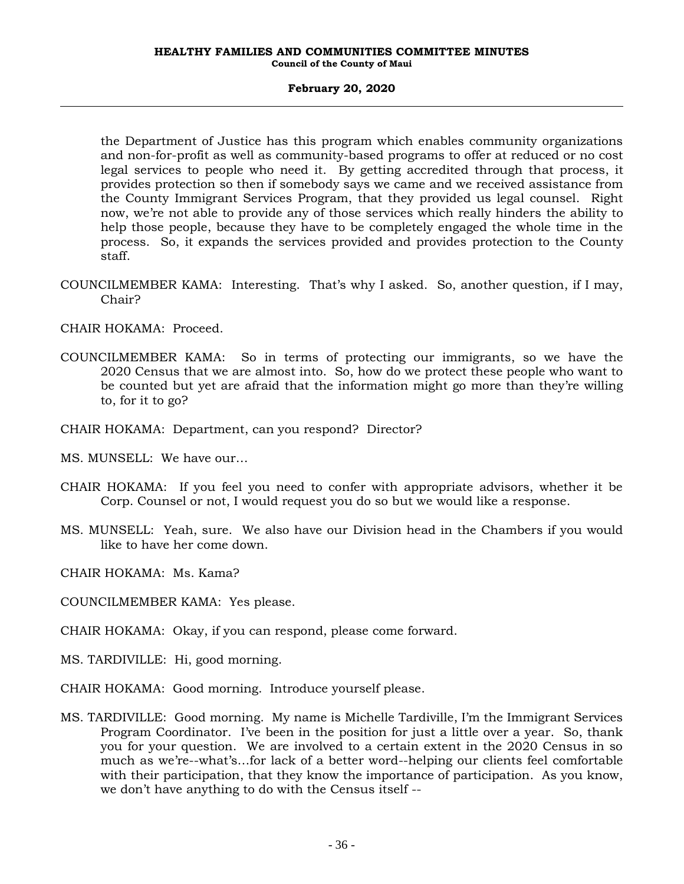## **February 20, 2020**

the Department of Justice has this program which enables community organizations and non-for-profit as well as community-based programs to offer at reduced or no cost legal services to people who need it. By getting accredited through that process, it provides protection so then if somebody says we came and we received assistance from the County Immigrant Services Program, that they provided us legal counsel. Right now, we're not able to provide any of those services which really hinders the ability to help those people, because they have to be completely engaged the whole time in the process. So, it expands the services provided and provides protection to the County staff.

COUNCILMEMBER KAMA: Interesting. That's why I asked. So, another question, if I may, Chair?

CHAIR HOKAMA: Proceed.

- COUNCILMEMBER KAMA: So in terms of protecting our immigrants, so we have the 2020 Census that we are almost into. So, how do we protect these people who want to be counted but yet are afraid that the information might go more than they're willing to, for it to go?
- CHAIR HOKAMA: Department, can you respond? Director?
- MS. MUNSELL: We have our…
- CHAIR HOKAMA: If you feel you need to confer with appropriate advisors, whether it be Corp. Counsel or not, I would request you do so but we would like a response.
- MS. MUNSELL: Yeah, sure. We also have our Division head in the Chambers if you would like to have her come down.

CHAIR HOKAMA: Ms. Kama?

COUNCILMEMBER KAMA: Yes please.

CHAIR HOKAMA: Okay, if you can respond, please come forward.

- MS. TARDIVILLE: Hi, good morning.
- CHAIR HOKAMA: Good morning. Introduce yourself please.
- MS. TARDIVILLE: Good morning. My name is Michelle Tardiville, I'm the Immigrant Services Program Coordinator. I've been in the position for just a little over a year. So, thank you for your question. We are involved to a certain extent in the 2020 Census in so much as we're--what's…for lack of a better word--helping our clients feel comfortable with their participation, that they know the importance of participation. As you know, we don't have anything to do with the Census itself --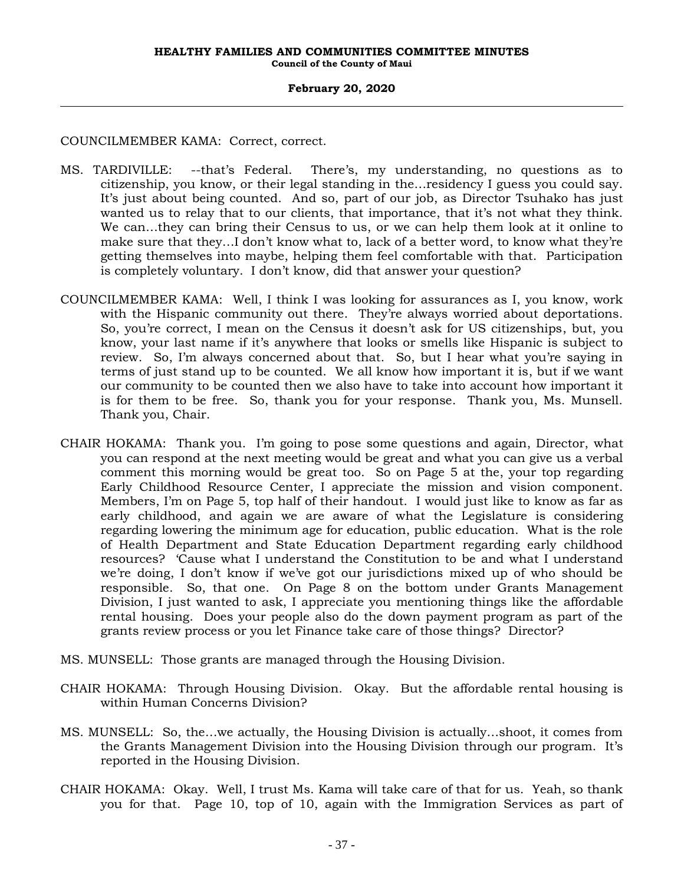COUNCILMEMBER KAMA: Correct, correct.

- MS. TARDIVILLE: --that's Federal. There's, my understanding, no questions as to citizenship, you know, or their legal standing in the…residency I guess you could say. It's just about being counted. And so, part of our job, as Director Tsuhako has just wanted us to relay that to our clients, that importance, that it's not what they think. We can…they can bring their Census to us, or we can help them look at it online to make sure that they…I don't know what to, lack of a better word, to know what they're getting themselves into maybe, helping them feel comfortable with that. Participation is completely voluntary. I don't know, did that answer your question?
- COUNCILMEMBER KAMA: Well, I think I was looking for assurances as I, you know, work with the Hispanic community out there. They're always worried about deportations. So, you're correct, I mean on the Census it doesn't ask for US citizenships, but, you know, your last name if it's anywhere that looks or smells like Hispanic is subject to review. So, I'm always concerned about that. So, but I hear what you're saying in terms of just stand up to be counted. We all know how important it is, but if we want our community to be counted then we also have to take into account how important it is for them to be free. So, thank you for your response. Thank you, Ms. Munsell. Thank you, Chair.
- CHAIR HOKAMA: Thank you. I'm going to pose some questions and again, Director, what you can respond at the next meeting would be great and what you can give us a verbal comment this morning would be great too. So on Page 5 at the, your top regarding Early Childhood Resource Center, I appreciate the mission and vision component. Members, I'm on Page 5, top half of their handout. I would just like to know as far as early childhood, and again we are aware of what the Legislature is considering regarding lowering the minimum age for education, public education. What is the role of Health Department and State Education Department regarding early childhood resources? 'Cause what I understand the Constitution to be and what I understand we're doing, I don't know if we've got our jurisdictions mixed up of who should be responsible. So, that one. On Page 8 on the bottom under Grants Management Division, I just wanted to ask, I appreciate you mentioning things like the affordable rental housing. Does your people also do the down payment program as part of the grants review process or you let Finance take care of those things? Director?
- MS. MUNSELL: Those grants are managed through the Housing Division.
- CHAIR HOKAMA: Through Housing Division. Okay. But the affordable rental housing is within Human Concerns Division?
- MS. MUNSELL: So, the…we actually, the Housing Division is actually…shoot, it comes from the Grants Management Division into the Housing Division through our program. It's reported in the Housing Division.
- CHAIR HOKAMA: Okay. Well, I trust Ms. Kama will take care of that for us. Yeah, so thank you for that. Page 10, top of 10, again with the Immigration Services as part of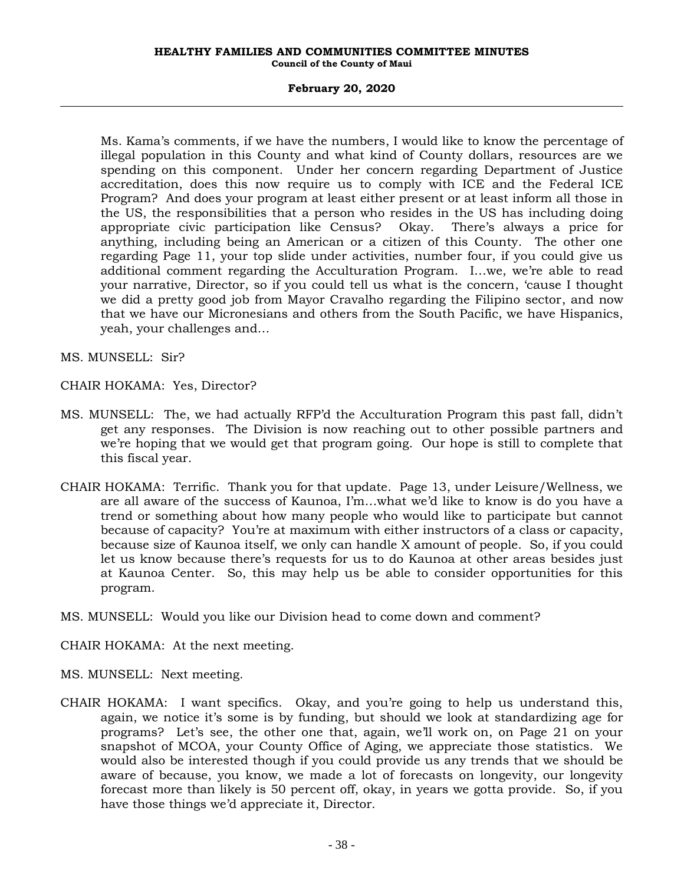# **February 20, 2020**

Ms. Kama's comments, if we have the numbers, I would like to know the percentage of illegal population in this County and what kind of County dollars, resources are we spending on this component. Under her concern regarding Department of Justice accreditation, does this now require us to comply with ICE and the Federal ICE Program? And does your program at least either present or at least inform all those in the US, the responsibilities that a person who resides in the US has including doing appropriate civic participation like Census? Okay. There's always a price for anything, including being an American or a citizen of this County. The other one regarding Page 11, your top slide under activities, number four, if you could give us additional comment regarding the Acculturation Program. I…we, we're able to read your narrative, Director, so if you could tell us what is the concern, 'cause I thought we did a pretty good job from Mayor Cravalho regarding the Filipino sector, and now that we have our Micronesians and others from the South Pacific, we have Hispanics, yeah, your challenges and…

MS. MUNSELL: Sir?

CHAIR HOKAMA: Yes, Director?

- MS. MUNSELL: The, we had actually RFP'd the Acculturation Program this past fall, didn't get any responses. The Division is now reaching out to other possible partners and we're hoping that we would get that program going. Our hope is still to complete that this fiscal year.
- CHAIR HOKAMA: Terrific. Thank you for that update. Page 13, under Leisure/Wellness, we are all aware of the success of Kaunoa, I'm…what we'd like to know is do you have a trend or something about how many people who would like to participate but cannot because of capacity? You're at maximum with either instructors of a class or capacity, because size of Kaunoa itself, we only can handle X amount of people. So, if you could let us know because there's requests for us to do Kaunoa at other areas besides just at Kaunoa Center. So, this may help us be able to consider opportunities for this program.
- MS. MUNSELL: Would you like our Division head to come down and comment?
- CHAIR HOKAMA: At the next meeting.
- MS. MUNSELL: Next meeting.
- CHAIR HOKAMA: I want specifics. Okay, and you're going to help us understand this, again, we notice it's some is by funding, but should we look at standardizing age for programs? Let's see, the other one that, again, we'll work on, on Page 21 on your snapshot of MCOA, your County Office of Aging, we appreciate those statistics. We would also be interested though if you could provide us any trends that we should be aware of because, you know, we made a lot of forecasts on longevity, our longevity forecast more than likely is 50 percent off, okay, in years we gotta provide. So, if you have those things we'd appreciate it, Director.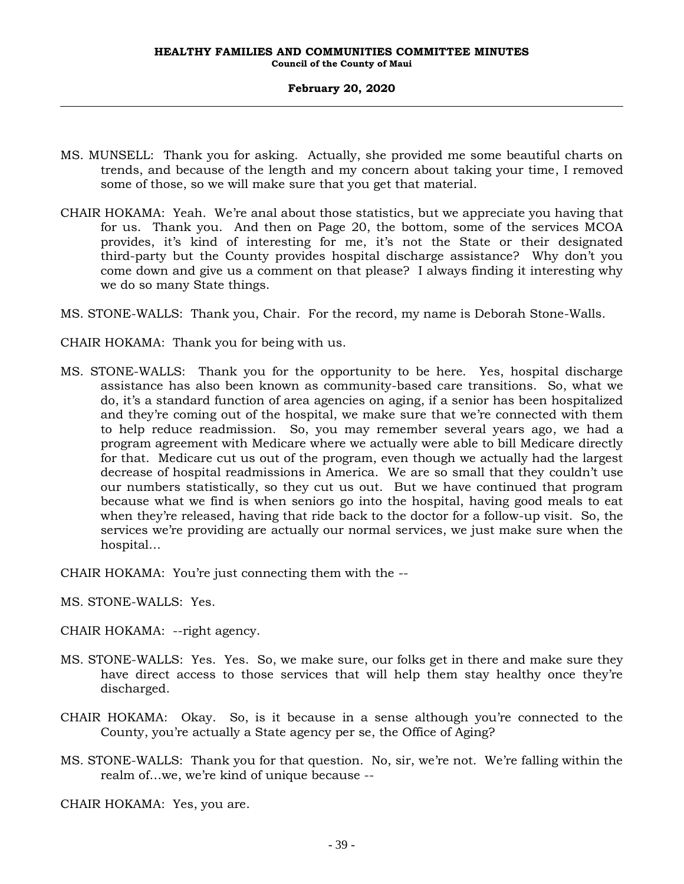- MS. MUNSELL: Thank you for asking. Actually, she provided me some beautiful charts on trends, and because of the length and my concern about taking your time, I removed some of those, so we will make sure that you get that material.
- CHAIR HOKAMA: Yeah. We're anal about those statistics, but we appreciate you having that for us. Thank you. And then on Page 20, the bottom, some of the services MCOA provides, it's kind of interesting for me, it's not the State or their designated third-party but the County provides hospital discharge assistance? Why don't you come down and give us a comment on that please? I always finding it interesting why we do so many State things.
- MS. STONE-WALLS: Thank you, Chair. For the record, my name is Deborah Stone-Walls.
- CHAIR HOKAMA: Thank you for being with us.
- MS. STONE-WALLS: Thank you for the opportunity to be here. Yes, hospital discharge assistance has also been known as community-based care transitions. So, what we do, it's a standard function of area agencies on aging, if a senior has been hospitalized and they're coming out of the hospital, we make sure that we're connected with them to help reduce readmission. So, you may remember several years ago, we had a program agreement with Medicare where we actually were able to bill Medicare directly for that. Medicare cut us out of the program, even though we actually had the largest decrease of hospital readmissions in America. We are so small that they couldn't use our numbers statistically, so they cut us out. But we have continued that program because what we find is when seniors go into the hospital, having good meals to eat when they're released, having that ride back to the doctor for a follow-up visit. So, the services we're providing are actually our normal services, we just make sure when the hospital…

CHAIR HOKAMA: You're just connecting them with the --

MS. STONE-WALLS: Yes.

CHAIR HOKAMA: --right agency.

- MS. STONE-WALLS: Yes. Yes. So, we make sure, our folks get in there and make sure they have direct access to those services that will help them stay healthy once they're discharged.
- CHAIR HOKAMA: Okay. So, is it because in a sense although you're connected to the County, you're actually a State agency per se, the Office of Aging?
- MS. STONE-WALLS: Thank you for that question. No, sir, we're not. We're falling within the realm of…we, we're kind of unique because --

CHAIR HOKAMA: Yes, you are.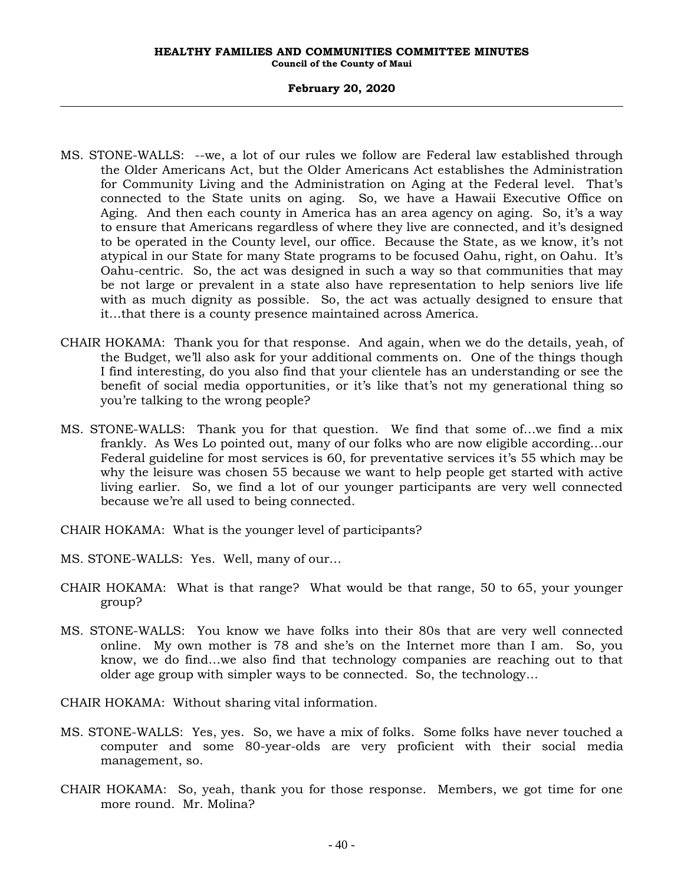## **February 20, 2020**

- MS. STONE-WALLS: --we, a lot of our rules we follow are Federal law established through the Older Americans Act, but the Older Americans Act establishes the Administration for Community Living and the Administration on Aging at the Federal level. That's connected to the State units on aging. So, we have a Hawaii Executive Office on Aging. And then each county in America has an area agency on aging. So, it's a way to ensure that Americans regardless of where they live are connected, and it's designed to be operated in the County level, our office. Because the State, as we know, it's not atypical in our State for many State programs to be focused Oahu, right, on Oahu. It's Oahu-centric. So, the act was designed in such a way so that communities that may be not large or prevalent in a state also have representation to help seniors live life with as much dignity as possible. So, the act was actually designed to ensure that it…that there is a county presence maintained across America.
- CHAIR HOKAMA: Thank you for that response. And again, when we do the details, yeah, of the Budget, we'll also ask for your additional comments on. One of the things though I find interesting, do you also find that your clientele has an understanding or see the benefit of social media opportunities, or it's like that's not my generational thing so you're talking to the wrong people?
- MS. STONE-WALLS: Thank you for that question. We find that some of…we find a mix frankly. As Wes Lo pointed out, many of our folks who are now eligible according…our Federal guideline for most services is 60, for preventative services it's 55 which may be why the leisure was chosen 55 because we want to help people get started with active living earlier. So, we find a lot of our younger participants are very well connected because we're all used to being connected.
- CHAIR HOKAMA: What is the younger level of participants?
- MS. STONE-WALLS: Yes. Well, many of our…
- CHAIR HOKAMA: What is that range? What would be that range, 50 to 65, your younger group?
- MS. STONE-WALLS: You know we have folks into their 80s that are very well connected online. My own mother is 78 and she's on the Internet more than I am. So, you know, we do find…we also find that technology companies are reaching out to that older age group with simpler ways to be connected. So, the technology…
- CHAIR HOKAMA: Without sharing vital information.
- MS. STONE-WALLS: Yes, yes. So, we have a mix of folks. Some folks have never touched a computer and some 80-year-olds are very proficient with their social media management, so.
- CHAIR HOKAMA: So, yeah, thank you for those response. Members, we got time for one more round. Mr. Molina?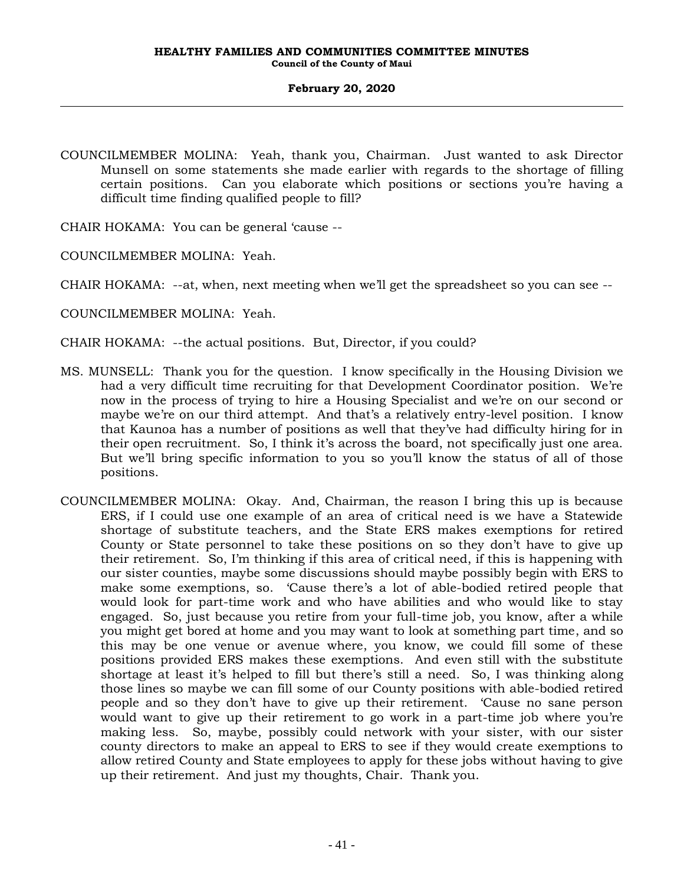COUNCILMEMBER MOLINA: Yeah, thank you, Chairman. Just wanted to ask Director Munsell on some statements she made earlier with regards to the shortage of filling certain positions. Can you elaborate which positions or sections you're having a difficult time finding qualified people to fill?

CHAIR HOKAMA: You can be general 'cause --

COUNCILMEMBER MOLINA: Yeah.

CHAIR HOKAMA: --at, when, next meeting when we'll get the spreadsheet so you can see --

COUNCILMEMBER MOLINA: Yeah.

CHAIR HOKAMA: --the actual positions. But, Director, if you could?

- MS. MUNSELL: Thank you for the question. I know specifically in the Housing Division we had a very difficult time recruiting for that Development Coordinator position. We're now in the process of trying to hire a Housing Specialist and we're on our second or maybe we're on our third attempt. And that's a relatively entry-level position. I know that Kaunoa has a number of positions as well that they've had difficulty hiring for in their open recruitment. So, I think it's across the board, not specifically just one area. But we'll bring specific information to you so you'll know the status of all of those positions.
- COUNCILMEMBER MOLINA: Okay. And, Chairman, the reason I bring this up is because ERS, if I could use one example of an area of critical need is we have a Statewide shortage of substitute teachers, and the State ERS makes exemptions for retired County or State personnel to take these positions on so they don't have to give up their retirement. So, I'm thinking if this area of critical need, if this is happening with our sister counties, maybe some discussions should maybe possibly begin with ERS to make some exemptions, so. 'Cause there's a lot of able-bodied retired people that would look for part-time work and who have abilities and who would like to stay engaged. So, just because you retire from your full-time job, you know, after a while you might get bored at home and you may want to look at something part time, and so this may be one venue or avenue where, you know, we could fill some of these positions provided ERS makes these exemptions. And even still with the substitute shortage at least it's helped to fill but there's still a need. So, I was thinking along those lines so maybe we can fill some of our County positions with able-bodied retired people and so they don't have to give up their retirement. 'Cause no sane person would want to give up their retirement to go work in a part-time job where you're making less. So, maybe, possibly could network with your sister, with our sister county directors to make an appeal to ERS to see if they would create exemptions to allow retired County and State employees to apply for these jobs without having to give up their retirement. And just my thoughts, Chair. Thank you.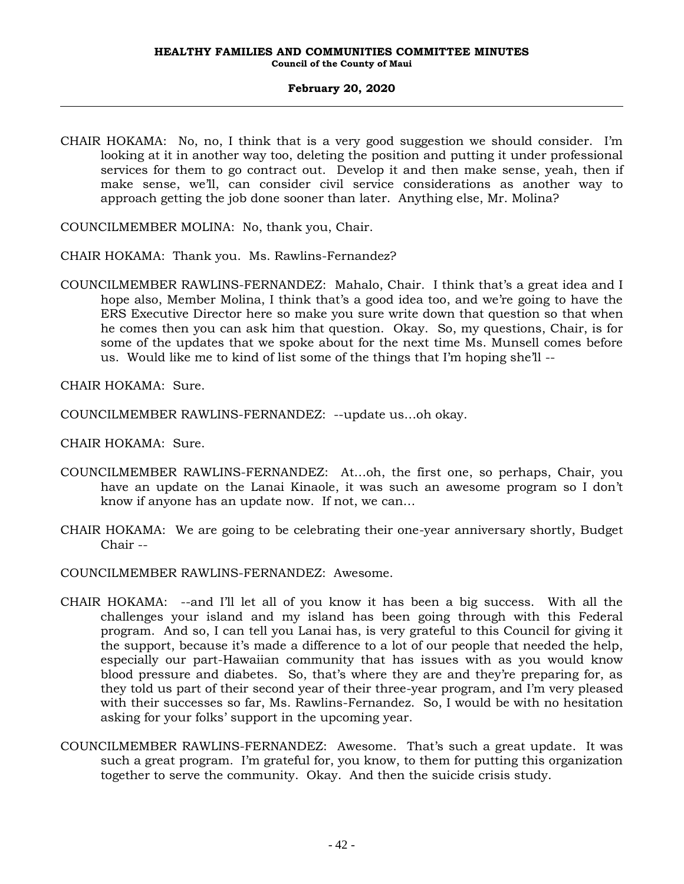- CHAIR HOKAMA: No, no, I think that is a very good suggestion we should consider. I'm looking at it in another way too, deleting the position and putting it under professional services for them to go contract out. Develop it and then make sense, yeah, then if make sense, we'll, can consider civil service considerations as another way to approach getting the job done sooner than later. Anything else, Mr. Molina?
- COUNCILMEMBER MOLINA: No, thank you, Chair.
- CHAIR HOKAMA: Thank you. Ms. Rawlins-Fernandez?
- COUNCILMEMBER RAWLINS-FERNANDEZ: Mahalo, Chair. I think that's a great idea and I hope also, Member Molina, I think that's a good idea too, and we're going to have the ERS Executive Director here so make you sure write down that question so that when he comes then you can ask him that question. Okay. So, my questions, Chair, is for some of the updates that we spoke about for the next time Ms. Munsell comes before us. Would like me to kind of list some of the things that I'm hoping she'll --

CHAIR HOKAMA: Sure.

COUNCILMEMBER RAWLINS-FERNANDEZ: --update us…oh okay.

CHAIR HOKAMA: Sure.

- COUNCILMEMBER RAWLINS-FERNANDEZ: At…oh, the first one, so perhaps, Chair, you have an update on the Lanai Kinaole, it was such an awesome program so I don't know if anyone has an update now. If not, we can…
- CHAIR HOKAMA: We are going to be celebrating their one-year anniversary shortly, Budget Chair --
- COUNCILMEMBER RAWLINS-FERNANDEZ: Awesome.
- CHAIR HOKAMA: --and I'll let all of you know it has been a big success. With all the challenges your island and my island has been going through with this Federal program. And so, I can tell you Lanai has, is very grateful to this Council for giving it the support, because it's made a difference to a lot of our people that needed the help, especially our part-Hawaiian community that has issues with as you would know blood pressure and diabetes. So, that's where they are and they're preparing for, as they told us part of their second year of their three-year program, and I'm very pleased with their successes so far, Ms. Rawlins-Fernandez. So, I would be with no hesitation asking for your folks' support in the upcoming year.
- COUNCILMEMBER RAWLINS-FERNANDEZ: Awesome. That's such a great update. It was such a great program. I'm grateful for, you know, to them for putting this organization together to serve the community. Okay. And then the suicide crisis study.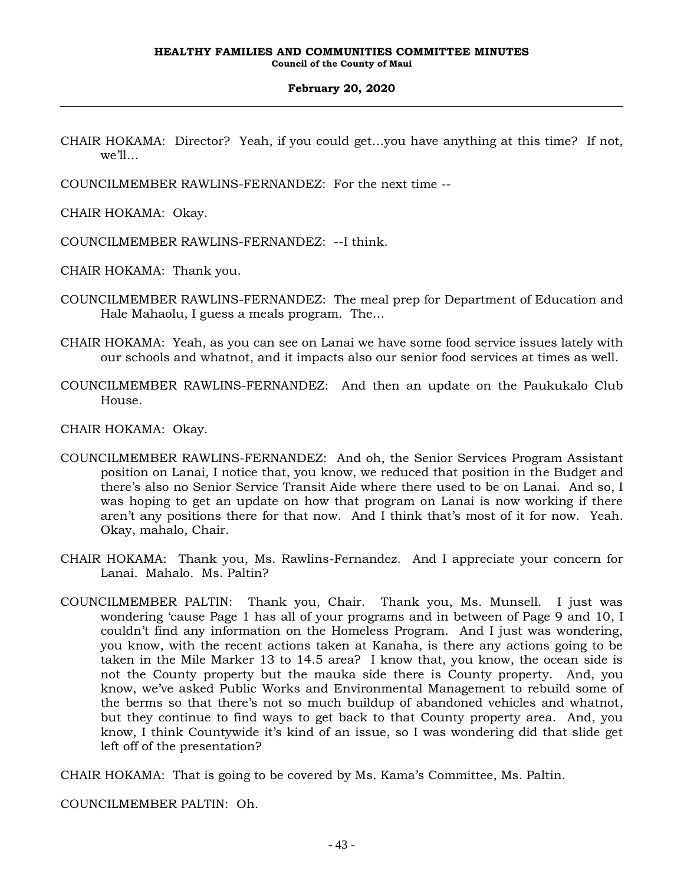- CHAIR HOKAMA: Director? Yeah, if you could get…you have anything at this time? If not, we'll…
- COUNCILMEMBER RAWLINS-FERNANDEZ: For the next time --

CHAIR HOKAMA: Okay.

COUNCILMEMBER RAWLINS-FERNANDEZ: --I think.

CHAIR HOKAMA: Thank you.

- COUNCILMEMBER RAWLINS-FERNANDEZ: The meal prep for Department of Education and Hale Mahaolu, I guess a meals program. The…
- CHAIR HOKAMA: Yeah, as you can see on Lanai we have some food service issues lately with our schools and whatnot, and it impacts also our senior food services at times as well.
- COUNCILMEMBER RAWLINS-FERNANDEZ: And then an update on the Paukukalo Club House.

CHAIR HOKAMA: Okay.

- COUNCILMEMBER RAWLINS-FERNANDEZ: And oh, the Senior Services Program Assistant position on Lanai, I notice that, you know, we reduced that position in the Budget and there's also no Senior Service Transit Aide where there used to be on Lanai. And so, I was hoping to get an update on how that program on Lanai is now working if there aren't any positions there for that now. And I think that's most of it for now. Yeah. Okay, mahalo, Chair.
- CHAIR HOKAMA: Thank you, Ms. Rawlins-Fernandez. And I appreciate your concern for Lanai. Mahalo. Ms. Paltin?
- COUNCILMEMBER PALTIN: Thank you, Chair. Thank you, Ms. Munsell. I just was wondering 'cause Page 1 has all of your programs and in between of Page 9 and 10, I couldn't find any information on the Homeless Program. And I just was wondering, you know, with the recent actions taken at Kanaha, is there any actions going to be taken in the Mile Marker 13 to 14.5 area? I know that, you know, the ocean side is not the County property but the mauka side there is County property. And, you know, we've asked Public Works and Environmental Management to rebuild some of the berms so that there's not so much buildup of abandoned vehicles and whatnot, but they continue to find ways to get back to that County property area. And, you know, I think Countywide it's kind of an issue, so I was wondering did that slide get left off of the presentation?

CHAIR HOKAMA: That is going to be covered by Ms. Kama's Committee, Ms. Paltin.

COUNCILMEMBER PALTIN: Oh.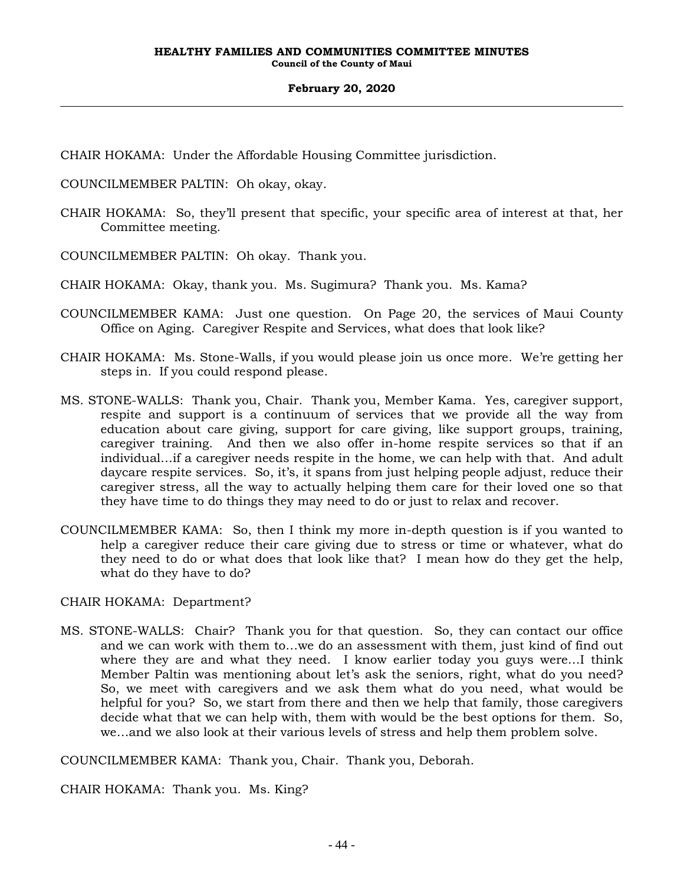CHAIR HOKAMA: Under the Affordable Housing Committee jurisdiction.

- COUNCILMEMBER PALTIN: Oh okay, okay.
- CHAIR HOKAMA: So, they'll present that specific, your specific area of interest at that, her Committee meeting.
- COUNCILMEMBER PALTIN: Oh okay. Thank you.
- CHAIR HOKAMA: Okay, thank you. Ms. Sugimura? Thank you. Ms. Kama?
- COUNCILMEMBER KAMA: Just one question. On Page 20, the services of Maui County Office on Aging. Caregiver Respite and Services, what does that look like?
- CHAIR HOKAMA: Ms. Stone-Walls, if you would please join us once more. We're getting her steps in. If you could respond please.
- MS. STONE-WALLS: Thank you, Chair. Thank you, Member Kama. Yes, caregiver support, respite and support is a continuum of services that we provide all the way from education about care giving, support for care giving, like support groups, training, caregiver training. And then we also offer in-home respite services so that if an individual…if a caregiver needs respite in the home, we can help with that. And adult daycare respite services. So, it's, it spans from just helping people adjust, reduce their caregiver stress, all the way to actually helping them care for their loved one so that they have time to do things they may need to do or just to relax and recover.
- COUNCILMEMBER KAMA: So, then I think my more in-depth question is if you wanted to help a caregiver reduce their care giving due to stress or time or whatever, what do they need to do or what does that look like that? I mean how do they get the help, what do they have to do?

CHAIR HOKAMA: Department?

MS. STONE-WALLS: Chair? Thank you for that question. So, they can contact our office and we can work with them to…we do an assessment with them, just kind of find out where they are and what they need. I know earlier today you guys were…I think Member Paltin was mentioning about let's ask the seniors, right, what do you need? So, we meet with caregivers and we ask them what do you need, what would be helpful for you? So, we start from there and then we help that family, those caregivers decide what that we can help with, them with would be the best options for them. So, we…and we also look at their various levels of stress and help them problem solve.

COUNCILMEMBER KAMA: Thank you, Chair. Thank you, Deborah.

CHAIR HOKAMA: Thank you. Ms. King?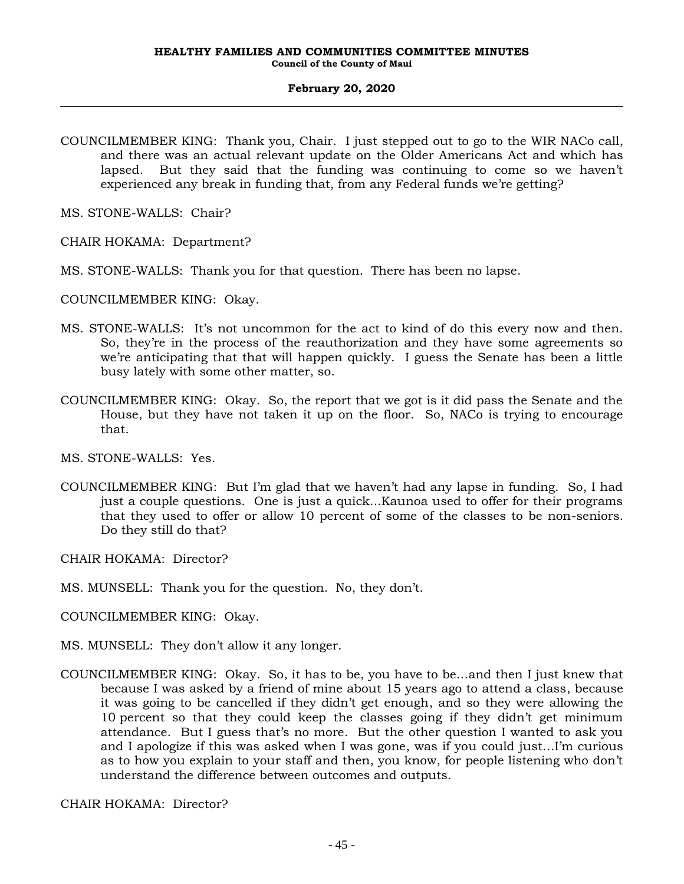COUNCILMEMBER KING: Thank you, Chair. I just stepped out to go to the WIR NACo call, and there was an actual relevant update on the Older Americans Act and which has lapsed. But they said that the funding was continuing to come so we haven't experienced any break in funding that, from any Federal funds we're getting?

MS. STONE-WALLS: Chair?

CHAIR HOKAMA: Department?

MS. STONE-WALLS: Thank you for that question. There has been no lapse.

COUNCILMEMBER KING: Okay.

- MS. STONE-WALLS: It's not uncommon for the act to kind of do this every now and then. So, they're in the process of the reauthorization and they have some agreements so we're anticipating that that will happen quickly. I guess the Senate has been a little busy lately with some other matter, so.
- COUNCILMEMBER KING: Okay. So, the report that we got is it did pass the Senate and the House, but they have not taken it up on the floor. So, NACo is trying to encourage that.

MS. STONE-WALLS: Yes.

COUNCILMEMBER KING: But I'm glad that we haven't had any lapse in funding. So, I had just a couple questions. One is just a quick...Kaunoa used to offer for their programs that they used to offer or allow 10 percent of some of the classes to be non-seniors. Do they still do that?

CHAIR HOKAMA: Director?

- MS. MUNSELL: Thank you for the question. No, they don't.
- COUNCILMEMBER KING: Okay.
- MS. MUNSELL: They don't allow it any longer.
- COUNCILMEMBER KING: Okay. So, it has to be, you have to be…and then I just knew that because I was asked by a friend of mine about 15 years ago to attend a class, because it was going to be cancelled if they didn't get enough, and so they were allowing the 10 percent so that they could keep the classes going if they didn't get minimum attendance. But I guess that's no more. But the other question I wanted to ask you and I apologize if this was asked when I was gone, was if you could just…I'm curious as to how you explain to your staff and then, you know, for people listening who don't understand the difference between outcomes and outputs.

CHAIR HOKAMA: Director?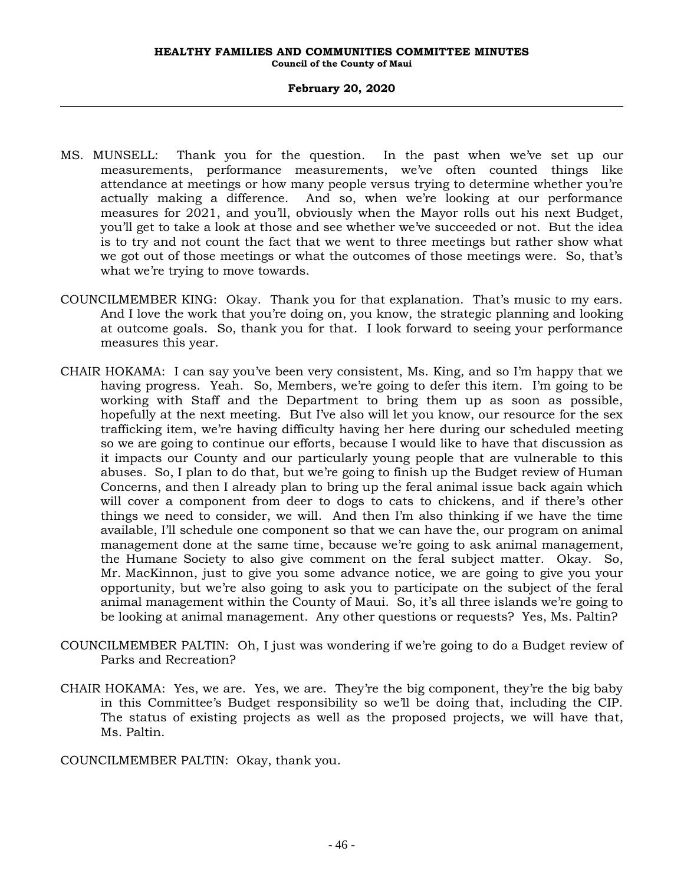- MS. MUNSELL: Thank you for the question. In the past when we've set up our measurements, performance measurements, we've often counted things like attendance at meetings or how many people versus trying to determine whether you're actually making a difference. And so, when we're looking at our performance measures for 2021, and you'll, obviously when the Mayor rolls out his next Budget, you'll get to take a look at those and see whether we've succeeded or not. But the idea is to try and not count the fact that we went to three meetings but rather show what we got out of those meetings or what the outcomes of those meetings were. So, that's what we're trying to move towards.
- COUNCILMEMBER KING: Okay. Thank you for that explanation. That's music to my ears. And I love the work that you're doing on, you know, the strategic planning and looking at outcome goals. So, thank you for that. I look forward to seeing your performance measures this year.
- CHAIR HOKAMA: I can say you've been very consistent, Ms. King, and so I'm happy that we having progress. Yeah. So, Members, we're going to defer this item. I'm going to be working with Staff and the Department to bring them up as soon as possible, hopefully at the next meeting. But I've also will let you know, our resource for the sex trafficking item, we're having difficulty having her here during our scheduled meeting so we are going to continue our efforts, because I would like to have that discussion as it impacts our County and our particularly young people that are vulnerable to this abuses. So, I plan to do that, but we're going to finish up the Budget review of Human Concerns, and then I already plan to bring up the feral animal issue back again which will cover a component from deer to dogs to cats to chickens, and if there's other things we need to consider, we will. And then I'm also thinking if we have the time available, I'll schedule one component so that we can have the, our program on animal management done at the same time, because we're going to ask animal management, the Humane Society to also give comment on the feral subject matter. Okay. So, Mr. MacKinnon, just to give you some advance notice, we are going to give you your opportunity, but we're also going to ask you to participate on the subject of the feral animal management within the County of Maui. So, it's all three islands we're going to be looking at animal management. Any other questions or requests? Yes, Ms. Paltin?
- COUNCILMEMBER PALTIN: Oh, I just was wondering if we're going to do a Budget review of Parks and Recreation?
- CHAIR HOKAMA: Yes, we are. Yes, we are. They're the big component, they're the big baby in this Committee's Budget responsibility so we'll be doing that, including the CIP. The status of existing projects as well as the proposed projects, we will have that, Ms. Paltin.

COUNCILMEMBER PALTIN: Okay, thank you.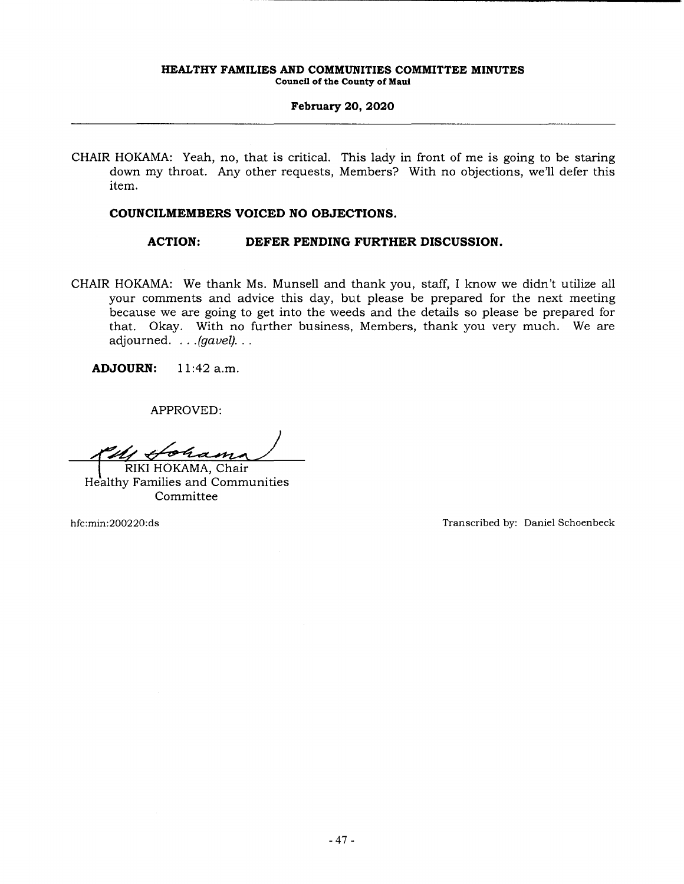CHAIR HOKAMA: Yeah, no, that is critical. This lady in front of me is going to be staring down my throat. Any other requests, Members? With no objections, we'll defer this item.

# **COUNCILMEMBERS VOICED NO OBJECTIONS.**

**ACTION: DEFER PENDING FURTHER DISCUSSION.** 

CHAIR HOKAMA: We thank Ms. Munsell and thank you, staff, I know we didn't utilize all your comments and advice this day, but please be prepared for the next meeting because we are going to get into the weeds and the details so please be prepared for that. Okay. With no further business, Members, thank you very much. We are adjourned. . . . (gavel). . .

**ADJOURN:** 11:42 a.m.

APPROVED:

ohas

RIKI HOKAMA, Chair Healthy Families and Communities Committee

hfc:min:200220:ds Transcribed by: Daniel Schoenbeck